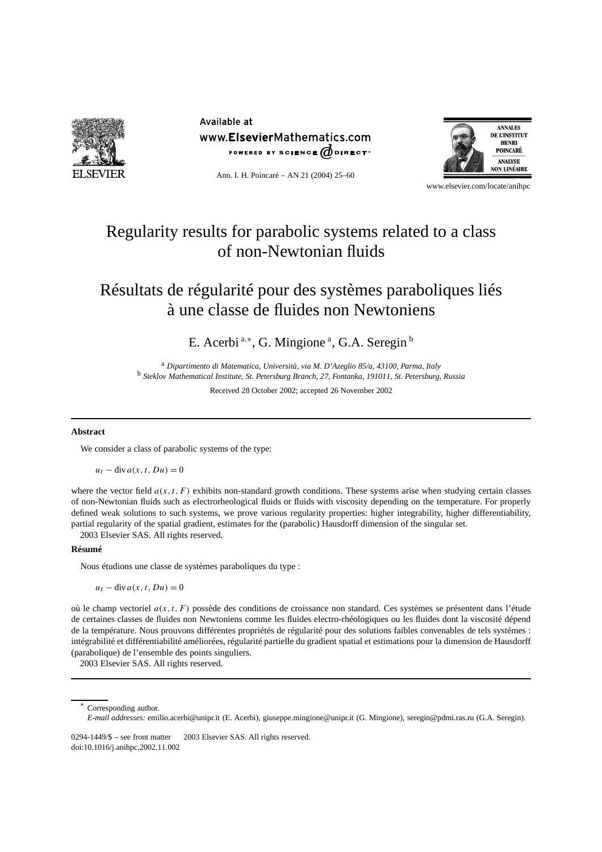

Available at www.ElsevierMathematics.com POWERED BY SCIENCE  $\phi$  direct<sup>®</sup>



Ann. I. H. Poincaré – AN 21 (2004) 25–60

#### www.elsevier.com/locate/anihpc

# Regularity results for parabolic systems related to a class of non-Newtonian fluids

# Résultats de régularité pour des systèmes paraboliques liés à une classe de fluides non Newtoniens

E. Acerbi<sup>a,∗</sup>, G. Mingione<sup>a</sup>, G.A. Seregin<sup>b</sup>

<sup>a</sup> *Dipartimento di Matematica, Università, via M. D'Azeglio 85/a, 43100, Parma, Italy* <sup>b</sup> *Steklov Mathematical Institute, St. Petersburg Branch, 27, Fontanka, 191011, St. Petersburg, Russia*

Received 28 October 2002; accepted 26 November 2002

# **Abstract**

We consider a class of parabolic systems of the type:

 $u_t$  – div  $a(x, t, Du) = 0$ 

where the vector field  $a(x, t, F)$  exhibits non-standard growth conditions. These systems arise when studying certain classes of non-Newtonian fluids such as electrorheological fluids or fluids with viscosity depending on the temperature. For properly defined weak solutions to such systems, we prove various regularity properties: higher integrability, higher differentiability, partial regularity of the spatial gradient, estimates for the (parabolic) Hausdorff dimension of the singular set. 2003 Elsevier SAS. All rights reserved.

# **Résumé**

Nous étudions une classe de systèmes paraboliques du type :

 $u_t - \text{div} a(x, t, Du) = 0$ 

où le champ vectoriel *a(x,t, F )* possède des conditions de croissance non standard. Ces systèmes se présentent dans l'étude de certaines classes de fluides non Newtoniens comme les fluides electro-rhéologiques ou les fluides dont la viscosité dépend de la température. Nous prouvons différentes propriétés de régularité pour des solutions faibles convenables de tels systémes : intégrabilité et différentiabilité améliorées, régularité partielle du gradient spatial et estimations pour la dimension de Hausdorff (parabolique) de l'ensemble des points singuliers.

2003 Elsevier SAS. All rights reserved.

Corresponding author.

*E-mail addresses:* emilio.acerbi@unipr.it (E. Acerbi), giuseppe.mingione@unipr.it (G. Mingione), seregin@pdmi.ras.ru (G.A. Seregin).

<sup>0294-1449/\$ –</sup> see front matter © 2003 Elsevier SAS. All rights reserved. doi:10.1016/j.anihpc.2002.11.002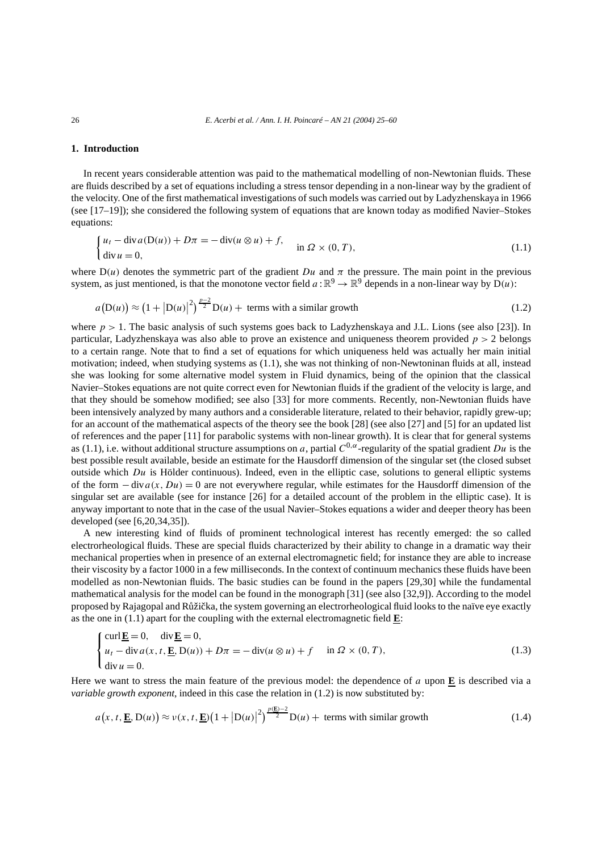# **1. Introduction**

In recent years considerable attention was paid to the mathematical modelling of non-Newtonian fluids. These are fluids described by a set of equations including a stress tensor depending in a non-linear way by the gradient of the velocity. One of the first mathematical investigations of such models was carried out by Ladyzhenskaya in 1966 (see [17–19]); she considered the following system of equations that are known today as modified Navier–Stokes equations:

$$
\begin{cases}\n u_t - \operatorname{div} a(D(u)) + D\pi = -\operatorname{div}(u \otimes u) + f, \\
 \operatorname{div} u = 0,\n\end{cases}\n\text{ in } \Omega \times (0, T),\n\tag{1.1}
$$

where  $D(u)$  denotes the symmetric part of the gradient *Du* and  $\pi$  the pressure. The main point in the previous system, as just mentioned, is that the monotone vector field  $a : \mathbb{R}^9 \to \mathbb{R}^9$  depends in a non-linear way by  $D(u)$ :

$$
a(D(u)) \approx (1 + |D(u)|^2)^{\frac{p-2}{2}}D(u) + \text{ terms with a similar growth}
$$
 (1.2)

where  $p > 1$ . The basic analysis of such systems goes back to Ladyzhenskaya and J.L. Lions (see also [23]). In particular, Ladyzhenskaya was also able to prove an existence and uniqueness theorem provided *p >* 2 belongs to a certain range. Note that to find a set of equations for which uniqueness held was actually her main initial motivation; indeed, when studying systems as (1.1), she was not thinking of non-Newtoninan fluids at all, instead she was looking for some alternative model system in Fluid dynamics, being of the opinion that the classical Navier–Stokes equations are not quite correct even for Newtonian fluids if the gradient of the velocity is large, and that they should be somehow modified; see also [33] for more comments. Recently, non-Newtonian fluids have been intensively analyzed by many authors and a considerable literature, related to their behavior, rapidly grew-up; for an account of the mathematical aspects of the theory see the book [28] (see also [27] and [5] for an updated list of references and the paper [11] for parabolic systems with non-linear growth). It is clear that for general systems as (1.1), i.e. without additional structure assumptions on *a*, partial *C*0*,α*-regularity of the spatial gradient *Du* is the best possible result available, beside an estimate for the Hausdorff dimension of the singular set (the closed subset outside which *Du* is Hölder continuous). Indeed, even in the elliptic case, solutions to general elliptic systems of the form  $-\text{div} a(x, Du) = 0$  are not everywhere regular, while estimates for the Hausdorff dimension of the singular set are available (see for instance [26] for a detailed account of the problem in the elliptic case). It is anyway important to note that in the case of the usual Navier–Stokes equations a wider and deeper theory has been developed (see [6,20,34,35]).

A new interesting kind of fluids of prominent technological interest has recently emerged: the so called electrorheological fluids. These are special fluids characterized by their ability to change in a dramatic way their mechanical properties when in presence of an external electromagnetic field; for instance they are able to increase their viscosity by a factor 1000 in a few milliseconds. In the context of continuum mechanics these fluids have been modelled as non-Newtonian fluids. The basic studies can be found in the papers [29,30] while the fundamental mathematical analysis for the model can be found in the monograph [31] (see also [32,9]). According to the model proposed by Rajagopal and Růžička, the system governing an electrorheological fluid looks to the naïve eye exactly as the one in (1.1) apart for the coupling with the external electromagnetic field **E**:

$$
\begin{cases}\n\text{curl } \underline{\mathbf{E}} = 0, & \text{div } \underline{\mathbf{E}} = 0, \\
u_t - \text{div } a(x, t, \underline{\mathbf{E}}, \mathbf{D}(u)) + D\pi = -\text{div}(u \otimes u) + f & \text{in } \Omega \times (0, T), \\
\text{div } u = 0.\n\end{cases}
$$
\n(1.3)

Here we want to stress the main feature of the previous model: the dependence of *a* upon **E** is described via a *variable growth exponent*, indeed in this case the relation in (1.2) is now substituted by:

$$
a(x, t, \underline{\mathbf{E}}, \mathbf{D}(u)) \approx v(x, t, \underline{\mathbf{E}}) \left(1 + |\mathbf{D}(u)|^2\right)^{\frac{p(\underline{\mathbf{E}}) - 2}{2}} \mathbf{D}(u) + \text{ terms with similar growth}
$$
(1.4)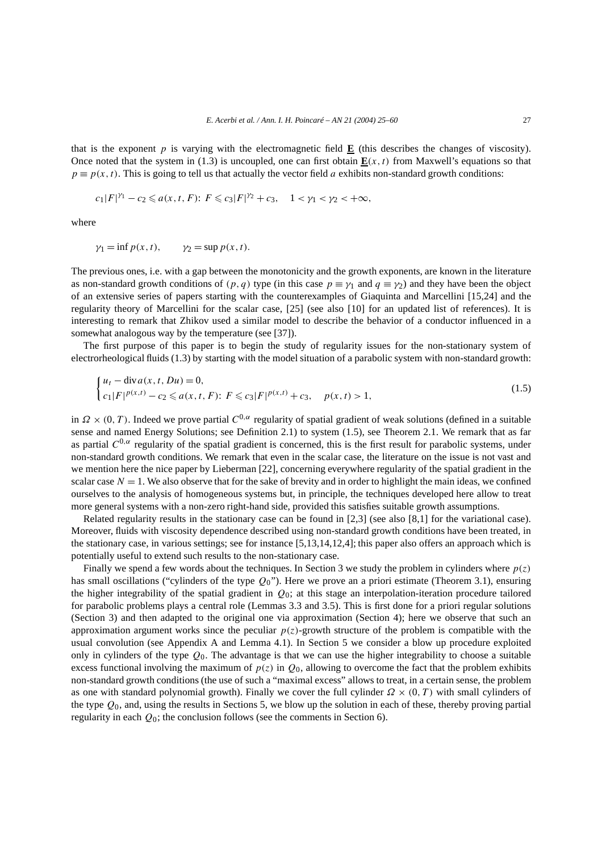that is the exponent  $p$  is varying with the electromagnetic field  $E$  (this describes the changes of viscosity). Once noted that the system in (1.3) is uncoupled, one can first obtain  $\mathbf{E}(x, t)$  from Maxwell's equations so that  $p \equiv p(x, t)$ . This is going to tell us that actually the vector field *a* exhibits non-standard growth conditions:

$$
c_1|F|^{\gamma_1}-c_2\leq a(x,t,F)\colon F\leq c_3|F|^{\gamma_2}+c_3,\quad 1<\gamma_1<\gamma_2<+\infty,
$$

where

$$
\gamma_1 = \inf p(x, t),
$$
  $\gamma_2 = \sup p(x, t).$ 

The previous ones, i.e. with a gap between the monotonicity and the growth exponents, are known in the literature as non-standard growth conditions of  $(p, q)$  type (in this case  $p \equiv \gamma_1$  and  $q \equiv \gamma_2$ ) and they have been the object of an extensive series of papers starting with the counterexamples of Giaquinta and Marcellini [15,24] and the regularity theory of Marcellini for the scalar case, [25] (see also [10] for an updated list of references). It is interesting to remark that Zhikov used a similar model to describe the behavior of a conductor influenced in a somewhat analogous way by the temperature (see [37]).

The first purpose of this paper is to begin the study of regularity issues for the non-stationary system of electrorheological fluids (1.3) by starting with the model situation of a parabolic system with non-standard growth:

$$
\begin{cases} u_t - \operatorname{div} a(x, t, Du) = 0, \\ c_1 |F|^{p(x,t)} - c_2 \le a(x, t, F); \ F \le c_3 |F|^{p(x,t)} + c_3, \quad p(x, t) > 1, \end{cases}
$$
(1.5)

in  $\Omega \times (0, T)$ . Indeed we prove partial  $C^{0,\alpha}$  regularity of spatial gradient of weak solutions (defined in a suitable sense and named Energy Solutions; see Definition 2.1) to system (1.5), see Theorem 2.1. We remark that as far as partial  $C^{0,\alpha}$  regularity of the spatial gradient is concerned, this is the first result for parabolic systems, under non-standard growth conditions. We remark that even in the scalar case, the literature on the issue is not vast and we mention here the nice paper by Lieberman [22], concerning everywhere regularity of the spatial gradient in the scalar case  $N = 1$ . We also observe that for the sake of brevity and in order to highlight the main ideas, we confined ourselves to the analysis of homogeneous systems but, in principle, the techniques developed here allow to treat more general systems with a non-zero right-hand side, provided this satisfies suitable growth assumptions.

Related regularity results in the stationary case can be found in [2,3] (see also [8,1] for the variational case). Moreover, fluids with viscosity dependence described using non-standard growth conditions have been treated, in the stationary case, in various settings; see for instance [5,13,14,12,4]; this paper also offers an approach which is potentially useful to extend such results to the non-stationary case.

Finally we spend a few words about the techniques. In Section 3 we study the problem in cylinders where *p(z)* has small oscillations ("cylinders of the type *Q*0"). Here we prove an a priori estimate (Theorem 3.1), ensuring the higher integrability of the spatial gradient in *Q*0; at this stage an interpolation-iteration procedure tailored for parabolic problems plays a central role (Lemmas 3.3 and 3.5). This is first done for a priori regular solutions (Section 3) and then adapted to the original one via approximation (Section 4); here we observe that such an approximation argument works since the peculiar  $p(z)$ -growth structure of the problem is compatible with the usual convolution (see Appendix A and Lemma 4.1). In Section 5 we consider a blow up procedure exploited only in cylinders of the type *Q*0. The advantage is that we can use the higher integrability to choose a suitable excess functional involving the maximum of  $p(z)$  in  $Q_0$ , allowing to overcome the fact that the problem exhibits non-standard growth conditions (the use of such a "maximal excess" allows to treat, in a certain sense, the problem as one with standard polynomial growth). Finally we cover the full cylinder *Ω* × *(*0*,T)* with small cylinders of the type *Q*0, and, using the results in Sections 5, we blow up the solution in each of these, thereby proving partial regularity in each *Q*0; the conclusion follows (see the comments in Section 6).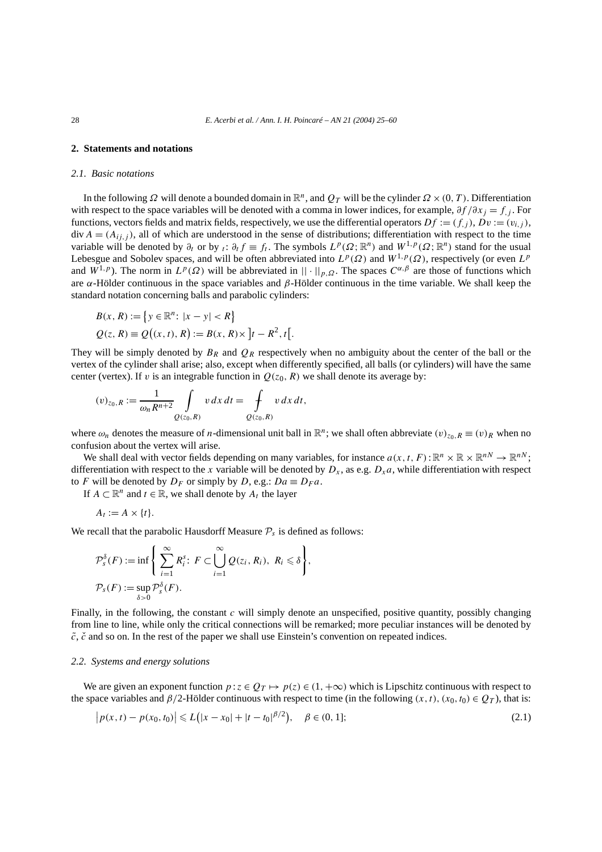# **2. Statements and notations**

### *2.1. Basic notations*

In the following  $\Omega$  will denote a bounded domain in  $\mathbb{R}^n$ , and  $Q_T$  will be the cylinder  $\Omega \times (0, T)$ . Differentiation with respect to the space variables will be denoted with a comma in lower indices, for example, *∂f /∂xj* = *f,j* . For functions, vectors fields and matrix fields, respectively, we use the differential operators  $Df := (f_i)$ ,  $Dv := (v_i)$ ,  $div A = (A_{ii,j})$ , all of which are understood in the sense of distributions; differentiation with respect to the time variable will be denoted by  $\partial_t$  or by  $\iota : \partial_t f \equiv f_t$ . The symbols  $L^p(\Omega; \mathbb{R}^n)$  and  $W^{1,p}(\Omega; \mathbb{R}^n)$  stand for the usual Lebesgue and Sobolev spaces, and will be often abbreviated into  $L^p(\Omega)$  and  $W^{1,p}(\Omega)$ , respectively (or even  $L^p$ and  $W^{1,p}$ ). The norm in  $L^p(\Omega)$  will be abbreviated in  $|| \cdot ||_{p,\Omega}$ . The spaces  $C^{\alpha,\beta}$  are those of functions which are *α*-Hölder continuous in the space variables and *β*-Hölder continuous in the time variable. We shall keep the standard notation concerning balls and parabolic cylinders:

$$
B(x, R) := \{ y \in \mathbb{R}^n : |x - y| < R \}
$$
\n
$$
Q(z, R) \equiv Q((x, t), R) := B(x, R) \times \left] t - R^2, t \right[.
$$

They will be simply denoted by  $B_R$  and  $Q_R$  respectively when no ambiguity about the center of the ball or the vertex of the cylinder shall arise; also, except when differently specified, all balls (or cylinders) will have the same center (vertex). If *v* is an integrable function in  $Q(z_0, R)$  we shall denote its average by:

$$
(v)_{z_0,R} := \frac{1}{\omega_n R^{n+2}} \int\limits_{Q(z_0,R)} v \, dx \, dt = \int\limits_{Q(z_0,R)} v \, dx \, dt,
$$

where  $\omega_n$  denotes the measure of *n*-dimensional unit ball in  $\mathbb{R}^n$ ; we shall often abbreviate  $(v)_{z_0, R} \equiv (v)_R$  when no confusion about the vertex will arise.

We shall deal with vector fields depending on many variables, for instance  $a(x, t, F): \mathbb{R}^n \times \mathbb{R} \times \mathbb{R}^{n} \to \mathbb{R}^{n}$ ; differentiation with respect to the *x* variable will be denoted by  $D_x$ , as e.g.  $D_x a$ , while differentiation with respect to *F* will be denoted by  $D_F$  or simply by *D*, e.g.:  $Da \equiv D_F a$ .

If  $A \subset \mathbb{R}^n$  and  $t \in \mathbb{R}$ , we shall denote by  $A_t$  the layer

$$
A_t := A \times \{t\}.
$$

We recall that the parabolic Hausdorff Measure  $P_s$  is defined as follows:

$$
\mathcal{P}_s^{\delta}(F) := \inf \left\{ \sum_{i=1}^{\infty} R_i^s \colon F \subset \bigcup_{i=1}^{\infty} \mathcal{Q}(z_i, R_i), R_i \leq \delta \right\},
$$
  

$$
\mathcal{P}_s(F) := \sup_{\delta > 0} \mathcal{P}_s^{\delta}(F).
$$

Finally, in the following, the constant *c* will simply denote an unspecified, positive quantity, possibly changing from line to line, while only the critical connections will be remarked; more peculiar instances will be denoted by  $\tilde{c}$ ,  $\tilde{c}$  and so on. In the rest of the paper we shall use Einstein's convention on repeated indices.

### *2.2. Systems and energy solutions*

We are given an exponent function  $p: z \in Q_T \mapsto p(z) \in (1, +\infty)$  which is Lipschitz continuous with respect to the space variables and  $\beta/2$ -Hölder continuous with respect to time (in the following  $(x, t)$ ,  $(x_0, t_0) \in Q_T$ ), that is:

$$
\left| p(x,t) - p(x_0, t_0) \right| \leqslant L\big( |x - x_0| + |t - t_0|^{\beta/2} \big), \quad \beta \in (0, 1]; \tag{2.1}
$$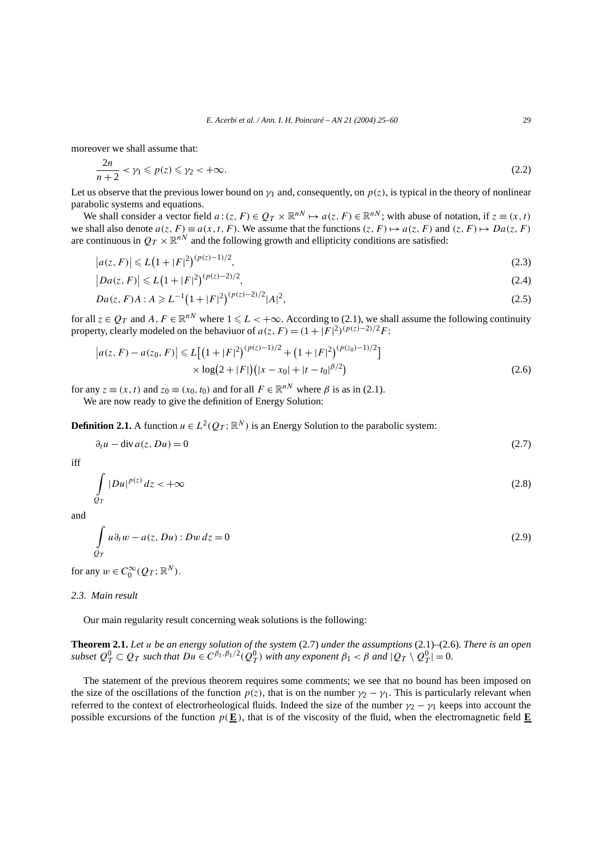moreover we shall assume that:

$$
\frac{2n}{n+2} < \gamma_1 \leqslant p(z) \leqslant \gamma_2 < +\infty. \tag{2.2}
$$

Let us observe that the previous lower bound on  $\gamma_1$  and, consequently, on  $p(z)$ , is typical in the theory of nonlinear parabolic systems and equations.

We shall consider a vector field  $a:(z, F) \in Q_T \times \mathbb{R}^{nN} \mapsto a(z, F) \in \mathbb{R}^{nN}$ ; with abuse of notation, if  $z \equiv (x, t)$ we shall also denote  $a(z, F) \equiv a(x, t, F)$ . We assume that the functions  $(z, F) \mapsto a(z, F)$  and  $(z, F) \mapsto Da(z, F)$ are continuous in  $Q_T \times \mathbb{R}^{n}$  and the following growth and ellipticity conditions are satisfied:

$$
|a(z, F)| \le L\left(1 + |F|^2\right)^{(p(z)-1)/2},\tag{2.3}
$$

$$
|Da(z, F)| \le L\left(1 + |F|^2\right)^{(p(z)-2)/2},\tag{2.4}
$$

$$
Da(z, F)A : A \geq L^{-1} \left( 1 + |F|^2 \right)^{(p(z)-2)/2} |A|^2,
$$
\n(2.5)

for all  $z \in Q_T$  and  $A, F \in \mathbb{R}^{nN}$  where  $1 \le L < +\infty$ . According to (2.1), we shall assume the following continuity property, clearly modeled on the behaviuor of  $a(z, F) = (1 + |F|^2)^{(p(z)-2)/2}F$ :

$$
\left| a(z, F) - a(z_0, F) \right| \le L \left[ \left( 1 + |F|^2 \right)^{(p(z)-1)/2} + \left( 1 + |F|^2 \right)^{(p(z_0)-1)/2} \right] \times \log(2 + |F|) \left( |x - x_0| + |t - t_0|^{\beta/2} \right) \tag{2.6}
$$

for any  $z \equiv (x, t)$  and  $z_0 \equiv (x_0, t_0)$  and for all  $F \in \mathbb{R}^{nN}$  where  $\beta$  is as in (2.1). We are now ready to give the definition of Energy Solution:

**Definition 2.1.** A function  $u \in L^2(Q_T; \mathbb{R}^N)$  is an Energy Solution to the parabolic system:

$$
\partial_t u - \text{div}\, a(z, Du) = 0 \tag{2.7}
$$

iff

 $\overline{\phantom{a}}$ 

$$
\int_{Q_T} |Du|^{p(z)} dz < +\infty \tag{2.8}
$$

and

$$
\int_{Q_T} u \partial_t w - a(z, Du) : Dw dz = 0
$$
\n(2.9)

for any  $w \in C_0^\infty(Q_T; \mathbb{R}^N)$ .

*2.3. Main result*

Our main regularity result concerning weak solutions is the following:

**Theorem 2.1.** *Let u be an energy solution of the system* (2.7) *under the assumptions* (2.1)*–*(2.6)*. There is an open* subset  $Q_T^0 \subset Q_T$  such that  $Du \in C^{\beta_1,\beta_1/2}(Q_T^0)$  with any exponent  $\beta_1 < \beta$  and  $|Q_T \setminus Q_T^0| = 0$ .

The statement of the previous theorem requires some comments; we see that no bound has been imposed on the size of the oscillations of the function  $p(z)$ , that is on the number  $\gamma_2 - \gamma_1$ . This is particularly relevant when referred to the context of electrorheological fluids. Indeed the size of the number  $\gamma_2 - \gamma_1$  keeps into account the possible excursions of the function  $p(\mathbf{E})$ , that is of the viscosity of the fluid, when the electromagnetic field  $\mathbf{E}$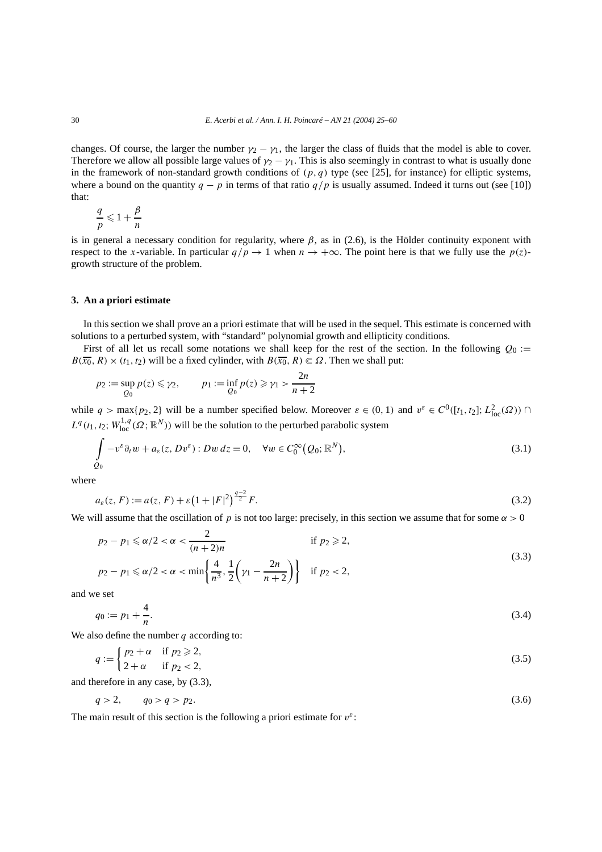changes. Of course, the larger the number  $\gamma_2 - \gamma_1$ , the larger the class of fluids that the model is able to cover. Therefore we allow all possible large values of  $\gamma_2 - \gamma_1$ . This is also seemingly in contrast to what is usually done in the framework of non-standard growth conditions of  $(p, q)$  type (see [25], for instance) for elliptic systems, where a bound on the quantity  $q - p$  in terms of that ratio  $q/p$  is usually assumed. Indeed it turns out (see [10]) that:

$$
\frac{q}{p} \leqslant 1 + \frac{\beta}{n}
$$

is in general a necessary condition for regularity, where  $\beta$ , as in (2.6), is the Hölder continuity exponent with respect to the *x*-variable. In particular  $q/p \to 1$  when  $n \to +\infty$ . The point here is that we fully use the  $p(z)$ growth structure of the problem.

# **3. An a priori estimate**

In this section we shall prove an a priori estimate that will be used in the sequel. This estimate is concerned with solutions to a perturbed system, with "standard" polynomial growth and ellipticity conditions.

First of all let us recall some notations we shall keep for the rest of the section. In the following  $Q_0 :=$  $B(\overline{x_0}, R) \times (t_1, t_2)$  will be a fixed cylinder, with  $B(\overline{x_0}, R) \in \Omega$ . Then we shall put:

$$
p_2 := \sup_{Q_0} p(z) \le \gamma_2,
$$
  $p_1 := \inf_{Q_0} p(z) \ge \gamma_1 > \frac{2n}{n+2}$ 

while  $q > \max\{p_2, 2\}$  will be a number specified below. Moreover  $\varepsilon \in (0, 1)$  and  $v^{\varepsilon} \in C^0([t_1, t_2]; L^2_{loc}(\Omega)) \cap$  $L^q(t_1, t_2; W^{1,q}_{loc}(\Omega; \mathbb{R}^N))$  will be the solution to the perturbed parabolic system

$$
\int_{Q_0} -v^{\varepsilon} \partial_t w + a_{\varepsilon}(z, Dv^{\varepsilon}) : Dw dz = 0, \quad \forall w \in C_0^{\infty}(Q_0; \mathbb{R}^N),
$$
\n(3.1)

where

$$
a_{\varepsilon}(z, F) := a(z, F) + \varepsilon \left(1 + |F|^2\right)^{\frac{q-2}{2}} F. \tag{3.2}
$$

We will assume that the oscillation of *p* is not too large: precisely, in this section we assume that for some  $\alpha > 0$ 

$$
p_2 - p_1 \le \alpha/2 < \alpha < \frac{2}{(n+2)n} \quad \text{if } p_2 \ge 2,
$$
\n(3.3)

$$
p_2 - p_1 \le \alpha/2 < \alpha < \min\left\{\frac{4}{n^3}, \frac{1}{2}\left(\gamma_1 - \frac{2n}{n+2}\right)\right\} \quad \text{if } p_2 < 2,
$$

and we set

$$
q_0 := p_1 + \frac{4}{n}.\tag{3.4}
$$

We also define the number *q* according to:

$$
q := \begin{cases} p_2 + \alpha & \text{if } p_2 \geqslant 2, \\ 2 + \alpha & \text{if } p_2 < 2, \end{cases} \tag{3.5}
$$

and therefore in any case, by (3.3),

$$
q > 2, \qquad q_0 > q > p_2. \tag{3.6}
$$

The main result of this section is the following a priori estimate for  $v^{\varepsilon}$ :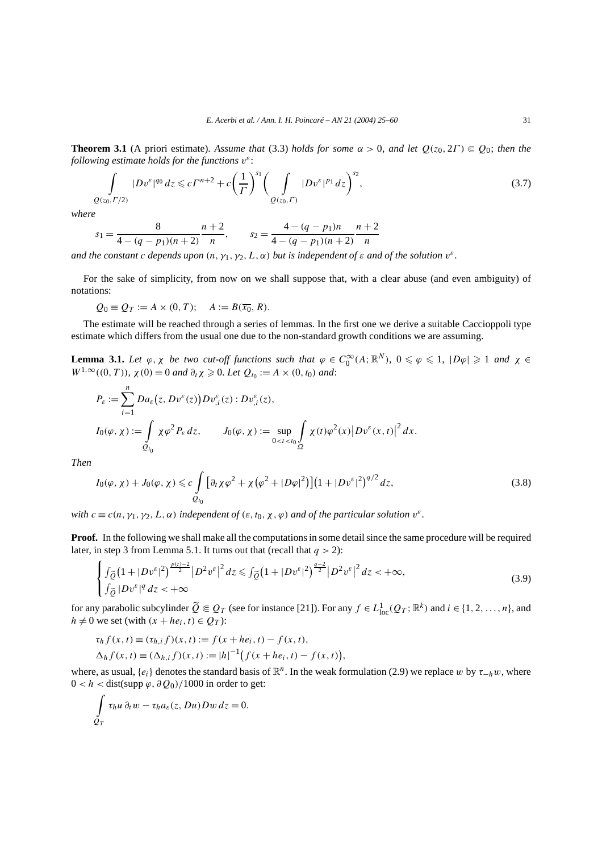**Theorem 3.1** (A priori estimate). Assume that (3.3) holds for some  $\alpha > 0$ , and let  $Q(z_0, 2\Gamma) \in Q_0$ ; then the *following estimate holds for the functions v<sup>ε</sup>* :

$$
\int_{Q(z_0,\Gamma/2)} |Dv^{\varepsilon}|^{q_0} dz \leqslant c\Gamma^{n+2} + c\left(\frac{1}{\Gamma}\right)^{s_1} \left(\int_{Q(z_0,\Gamma)} |Dv^{\varepsilon}|^{p_1} dz\right)^{s_2},\tag{3.7}
$$

*where*

$$
s_1 = \frac{8}{4 - (q - p_1)(n + 2)} \frac{n + 2}{n}, \qquad s_2 = \frac{4 - (q - p_1)n}{4 - (q - p_1)(n + 2)} \frac{n + 2}{n}
$$

*and the constant c depends upon*  $(n, \gamma_1, \gamma_2, L, \alpha)$  *but is independent of*  $\varepsilon$  *and of the solution*  $v^{\varepsilon}$ *.* 

For the sake of simplicity, from now on we shall suppose that, with a clear abuse (and even ambiguity) of notations:

 $Q_0 = Q_T := A \times (0, T);$   $A := B(\overline{x_0}, R).$ 

The estimate will be reached through a series of lemmas. In the first one we derive a suitable Caccioppoli type estimate which differs from the usual one due to the non-standard growth conditions we are assuming.

**Lemma 3.1.** Let  $\varphi$ ,  $\chi$  be two cut-off functions such that  $\varphi \in C_0^{\infty}(A; \mathbb{R}^N)$ ,  $0 \le \varphi \le 1$ ,  $|D\varphi| \ge 1$  and  $\chi \in$  $W^{1,\infty}((0,T))$ ,  $\chi(0) = 0$  *and*  $\partial_t \chi \geq 0$ *. Let*  $Q_{t_0} := A \times (0,t_0)$  *and*:

$$
P_{\varepsilon} := \sum_{i=1}^{n} Da_{\varepsilon}(z, Dv^{\varepsilon}(z)) Dv^{\varepsilon}_{,i}(z) : Dv^{\varepsilon}_{,i}(z),
$$
  
\n
$$
I_0(\varphi, \chi) := \int_{Q_{t_0}} \chi \varphi^2 P_{\varepsilon} dz, \qquad J_0(\varphi, \chi) := \sup_{0 < t < t_0} \int_{\Omega} \chi(t) \varphi^2(x) |Dv^{\varepsilon}(x, t)|^2 dx.
$$

*Then*

$$
I_0(\varphi, \chi) + J_0(\varphi, \chi) \leq c \int_{Q_{t_0}} \left[ \partial_t \chi \varphi^2 + \chi \left( \varphi^2 + |D\varphi|^2 \right) \right] \left( 1 + |Dv^{\varepsilon}|^2 \right)^{q/2} dz,
$$
\n(3.8)

*with*  $c \equiv c(n, \gamma_1, \gamma_2, L, \alpha)$  *independent of*  $(\varepsilon, t_0, \chi, \varphi)$  *and of the particular solution*  $v^{\varepsilon}$ *.* 

**Proof.** In the following we shall make all the computations in some detail since the same procedure will be required later, in step 3 from Lemma 5.1. It turns out that (recall that  $q > 2$ ):

$$
\begin{cases} \int_{\widetilde{Q}} \left(1+|Dv^{\varepsilon}|^{2}\right)^{\frac{p(z)-2}{2}} |D^{2}v^{\varepsilon}|^{2} dz \leq \int_{\widetilde{Q}} \left(1+|Dv^{\varepsilon}|^{2}\right)^{\frac{q-2}{2}} |D^{2}v^{\varepsilon}|^{2} dz < +\infty, \\ \int_{\widetilde{Q}} |Dv^{\varepsilon}|^{q} dz < +\infty \end{cases}
$$
\n(3.9)

for any parabolic subcylinder  $\widetilde{Q} \in Q_T$  (see for instance [21]). For any  $f \in L^1_{loc}(Q_T; \mathbb{R}^k)$  and  $i \in \{1, 2, ..., n\}$ , and  $h \neq 0$  we set (with  $(x + he_i, t) \in Q_T$ ):

$$
\tau_h f(x, t) \equiv (\tau_{h,i} f)(x, t) := f(x + he_i, t) - f(x, t),
$$
  
\n
$$
\Delta_h f(x, t) \equiv (\Delta_{h,i} f)(x, t) := |h|^{-1} (f(x + he_i, t) - f(x, t)),
$$

where, as usual,  $\{e_i\}$  denotes the standard basis of  $\mathbb{R}^n$ . In the weak formulation (2.9) we replace *w* by  $\tau_{h}$ *w*, where  $0 < h <$  dist(supp  $\varphi$ ,  $\partial Q_0$ )/1000 in order to get:

$$
\int_{Q_T} \tau_h u \, \partial_t w - \tau_h a_\varepsilon(z, Du) Dw \, dz = 0.
$$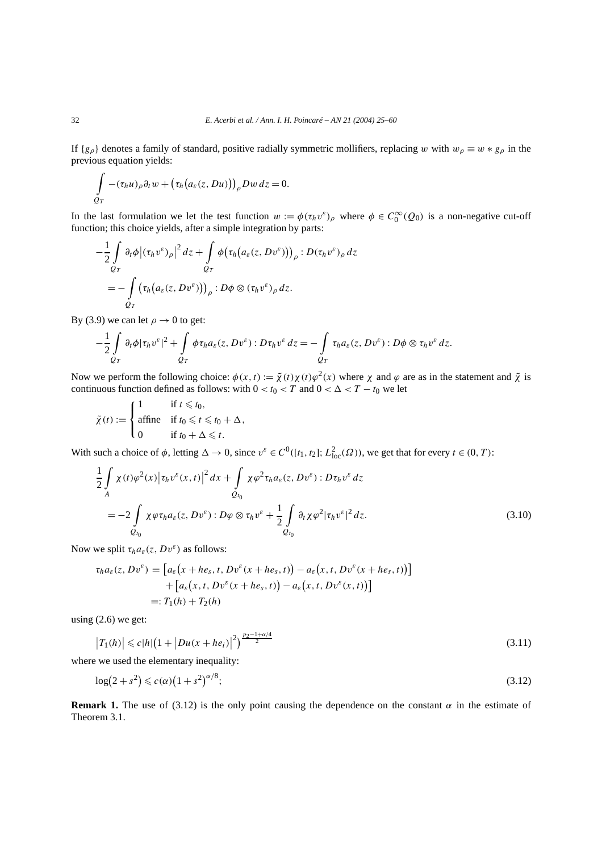If  ${g_\rho}$  denotes a family of standard, positive radially symmetric mollifiers, replacing *w* with  $w_\rho \equiv w * g_\rho$  in the previous equation yields:

$$
\int_{Q_T} -(\tau_h u)_\rho \partial_t w + (\tau_h (a_\varepsilon(z, Du)))_\rho Dw \, dz = 0.
$$

In the last formulation we let the test function  $w := \phi(\tau_h v^\varepsilon)_{\rho}$  where  $\phi \in C_0^{\infty}(Q_0)$  is a non-negative cut-off function; this choice yields, after a simple integration by parts:

$$
-\frac{1}{2}\int_{Q_T} \partial_t \phi \big| (\tau_h v^\varepsilon)_\rho \big|^2 dz + \int_{Q_T} \phi \big( \tau_h \big( a_\varepsilon(z, D v^\varepsilon) \big) \big)_\rho : D(\tau_h v^\varepsilon)_\rho dz
$$
  
= 
$$
-\int_{Q_T} \big( \tau_h \big( a_\varepsilon(z, D v^\varepsilon) \big) \big)_\rho : D \phi \otimes (\tau_h v^\varepsilon)_\rho dz.
$$

By (3.9) we can let  $\rho \rightarrow 0$  to get:

$$
-\frac{1}{2}\int\limits_{Q_T}\partial_t\phi|\tau_h v^\varepsilon|^2+\int\limits_{Q_T}\phi\tau_h a_\varepsilon(z,Dv^\varepsilon):D\tau_h v^\varepsilon dz=-\int\limits_{Q_T}\tau_h a_\varepsilon(z,Dv^\varepsilon):D\phi\otimes\tau_h v^\varepsilon dz.
$$

Now we perform the following choice:  $\phi(x, t) := \tilde{\chi}(t)\chi(t)\varphi^2(x)$  where  $\chi$  and  $\varphi$  are as in the statement and  $\tilde{\chi}$  is continuous function defined as follows: with  $0 < t_0 < T$  and  $0 < \Delta < T - t_0$  we let

$$
\tilde{\chi}(t) := \begin{cases}\n1 & \text{if } t \leq t_0, \\
\text{affine} & \text{if } t_0 \leq t \leq t_0 + \Delta, \\
0 & \text{if } t_0 + \Delta \leq t.\n\end{cases}
$$

With such a choice of  $\phi$ , letting  $\Delta \to 0$ , since  $v^{\varepsilon} \in C^0([t_1, t_2]; L^2_{loc}(\Omega))$ , we get that for every  $t \in (0, T)$ :

$$
\frac{1}{2} \int_{A} \chi(t) \varphi^{2}(x) \left| \tau_{h} v^{\varepsilon}(x, t) \right|^{2} dx + \int_{Q_{t_{0}}} \chi \varphi^{2} \tau_{h} a_{\varepsilon}(z, D v^{\varepsilon}) : D \tau_{h} v^{\varepsilon} dz
$$
\n
$$
= -2 \int_{Q_{t_{0}}} \chi \varphi \tau_{h} a_{\varepsilon}(z, D v^{\varepsilon}) : D \varphi \otimes \tau_{h} v^{\varepsilon} + \frac{1}{2} \int_{Q_{t_{0}}} \partial_{t} \chi \varphi^{2} \left| \tau_{h} v^{\varepsilon} \right|^{2} dz. \tag{3.10}
$$

Now we split  $\tau_h a_\varepsilon(z, Dv^\varepsilon)$  as follows:

$$
\tau_h a_{\varepsilon}(z, Dv^{\varepsilon}) = [a_{\varepsilon}(x + he_s, t, Dv^{\varepsilon}(x + he_s, t)) - a_{\varepsilon}(x, t, Dv^{\varepsilon}(x + he_s, t))]
$$
  
+ 
$$
[a_{\varepsilon}(x, t, Dv^{\varepsilon}(x + he_s, t)) - a_{\varepsilon}(x, t, Dv^{\varepsilon}(x, t))]
$$
  
=:  $T_1(h) + T_2(h)$ 

using  $(2.6)$  we get:

$$
\left|T_1(h)\right| \leqslant c|h|\left(1+\left|Du(x+he_i)\right|^2\right)^{\frac{p_2-1+\alpha/4}{2}}\tag{3.11}
$$

where we used the elementary inequality:

$$
\log(2+s^2) \leqslant c(\alpha)\left(1+s^2\right)^{\alpha/8};\tag{3.12}
$$

**Remark 1.** The use of (3.12) is the only point causing the dependence on the constant  $\alpha$  in the estimate of Theorem 3.1.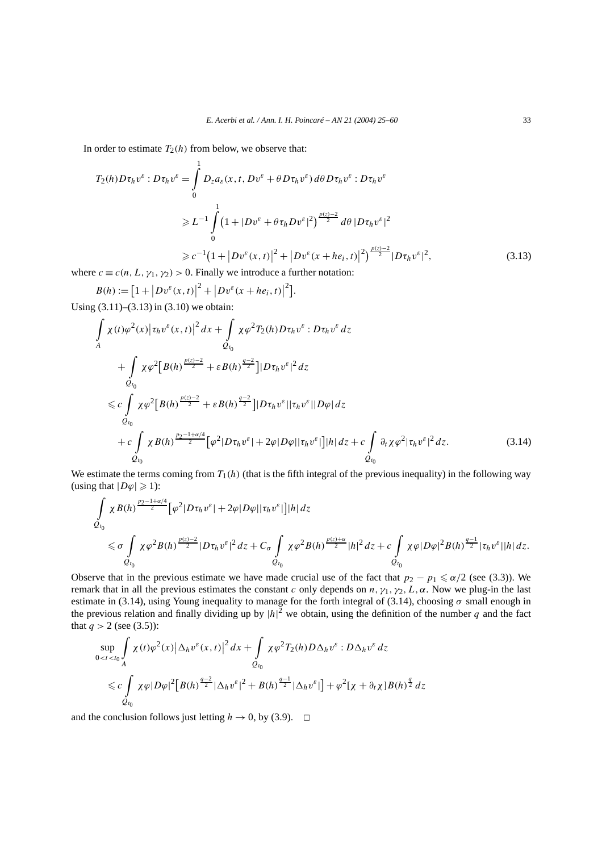In order to estimate  $T_2(h)$  from below, we observe that:

$$
T_2(h)D\tau_h v^{\varepsilon} : D\tau_h v^{\varepsilon} = \int_0^1 D_z a_{\varepsilon}(x, t, Dv^{\varepsilon} + \theta D\tau_h v^{\varepsilon}) d\theta D\tau_h v^{\varepsilon} : D\tau_h v^{\varepsilon}
$$
  
\n
$$
\geq L^{-1} \int_0^1 (1 + |Dv^{\varepsilon} + \theta \tau_h Dv^{\varepsilon}|^2)^{\frac{p(z)-2}{2}} d\theta |D\tau_h v^{\varepsilon}|^2
$$
  
\n
$$
\geq c^{-1} (1 + |Dv^{\varepsilon}(x, t)|^2 + |Dv^{\varepsilon}(x + he_i, t)|^2)^{\frac{p(z)-2}{2}} |D\tau_h v^{\varepsilon}|^2,
$$
\n(3.13)

where  $c \equiv c(n, L, \gamma_1, \gamma_2) > 0$ . Finally we introduce a further notation:

 $B(h) := [1 + |Dv^{\varepsilon}(x,t)|^2 + |Dv^{\varepsilon}(x+he_i,t)|^2].$ 

Using (3.11)–(3.13) in (3.10) we obtain:

$$
\int_{A} \chi(t)\varphi^{2}(x)|\tau_{h}v^{\varepsilon}(x,t)|^{2} dx + \int_{Q_{t_{0}}} \chi\varphi^{2}T_{2}(h)D\tau_{h}v^{\varepsilon}:D\tau_{h}v^{\varepsilon} dz \n+ \int_{Q_{t_{0}}} \chi\varphi^{2}[B(h)^{\frac{p(z)-2}{2}} + \varepsilon B(h)^{\frac{q-2}{2}}]|D\tau_{h}v^{\varepsilon}|^{2} dz \n\leq c \int_{Q_{t_{0}}} \chi\varphi^{2}[B(h)^{\frac{p(z)-2}{2}} + \varepsilon B(h)^{\frac{q-2}{2}}]|D\tau_{h}v^{\varepsilon}||\tau_{h}v^{\varepsilon}||D\varphi| dz \n+ c \int_{Q_{t_{0}}} \chi B(h)^{\frac{p_{2}-1+\alpha/4}{2}}[\varphi^{2}|D\tau_{h}v^{\varepsilon}| + 2\varphi|D\varphi||\tau_{h}v^{\varepsilon}]||h| dz + c \int_{Q_{t_{0}}} \partial_{t}\chi\varphi^{2}|\tau_{h}v^{\varepsilon}|^{2} dz.
$$
\n(3.14)

We estimate the terms coming from  $T_1(h)$  (that is the fifth integral of the previous inequality) in the following way (using that  $|D\varphi| \geqslant 1$ ):

$$
\begin{split} & \int\limits_{Q_{t_0}} \chi B(h)^{\frac{p_2-1+\alpha/4}{2}} \big[ \varphi^2 |D\tau_h v^\varepsilon| + 2 \varphi |D\varphi| |\tau_h v^\varepsilon| \big] |h| \, dz \\ & \leq \sigma \int\limits_{Q_{t_0}} \chi \varphi^2 B(h)^{\frac{p(z)-2}{2}} |D\tau_h v^\varepsilon|^2 \, dz + C_\sigma \int\limits_{Q_{t_0}} \chi \varphi^2 B(h)^{\frac{p(z)+\alpha}{2}} |h|^2 \, dz + c \int\limits_{Q_{t_0}} \chi \varphi |D\varphi|^2 B(h)^{\frac{q-1}{2}} |\tau_h v^\varepsilon| |h| \, dz. \end{split}
$$

Observe that in the previous estimate we have made crucial use of the fact that  $p_2 - p_1 \le \alpha/2$  (see (3.3)). We remark that in all the previous estimates the constant *c* only depends on  $n, \gamma_1, \gamma_2, L, \alpha$ . Now we plug-in the last estimate in (3.14), using Young inequality to manage for the forth integral of (3.14), choosing  $\sigma$  small enough in the previous relation and finally dividing up by  $|h|^2$  we obtain, using the definition of the number q and the fact that  $q > 2$  (see (3.5)):

$$
\sup_{0  
$\leqslant c \int_{Q_{t_0}} \chi \varphi |D\varphi|^2 [B(h)^{\frac{q-2}{2}} |\Delta_h v^\varepsilon|^2 + B(h)^{\frac{q-1}{2}} |\Delta_h v^\varepsilon|] + \varphi^2 [\chi + \partial_t \chi] B(h)^{\frac{q}{2}} dz$
$$

and the conclusion follows just letting  $h \to 0$ , by (3.9).  $\Box$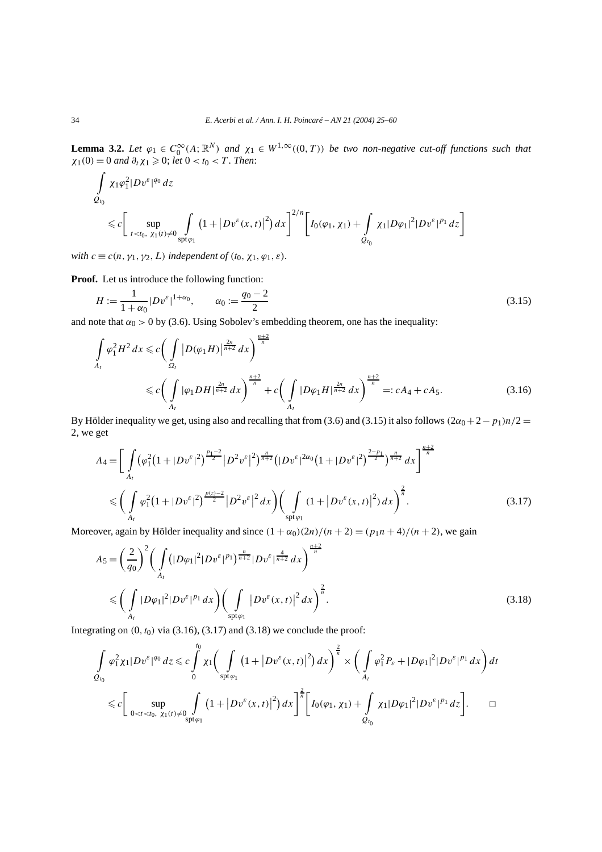**Lemma 3.2.** Let  $\varphi_1 \in C_0^{\infty}(A; \mathbb{R}^N)$  and  $\chi_1 \in W^{1,\infty}((0,T))$  be two non-negative cut-off functions such that  $\chi_1(0) = 0$  *and*  $\partial_t \chi_1 \geq 0$ ; *let*  $0 < t_0 < T$ *. Then*:

$$
\int_{Q_{t_0}} \chi_1 \varphi_1^2 |D v^{\varepsilon}|^{q_0} dz
$$
\n
$$
\leq c \bigg[ \sup_{t < t_0, \ \chi_1(t) \neq 0} \int_{\text{spt}\varphi_1} \left(1 + |D v^{\varepsilon}(x, t)|^2\right) dx \bigg]^{2/n} \bigg[ I_0(\varphi_1, \chi_1) + \int_{Q_{t_0}} \chi_1 |D \varphi_1|^2 |D v^{\varepsilon}|^{p_1} dz \bigg]
$$

*with*  $c \equiv c(n, \gamma_1, \gamma_2, L)$  *independent of*  $(t_0, \chi_1, \varphi_1, \varepsilon)$ *.* 

**Proof.** Let us introduce the following function:

$$
H := \frac{1}{1 + \alpha_0} |Dv^{\varepsilon}|^{1 + \alpha_0}, \qquad \alpha_0 := \frac{q_0 - 2}{2}
$$
\n(3.15)

and note that  $\alpha_0 > 0$  by (3.6). Using Sobolev's embedding theorem, one has the inequality:

$$
\int_{A_t} \varphi_1^2 H^2 dx \leq c \bigg( \int_{\Omega_t} |D(\varphi_1 H)|^{\frac{2n}{n+2}} dx \bigg)^{\frac{n+2}{n}} \n\leq c \bigg( \int_{A_t} |\varphi_1 DH|^{\frac{2n}{n+2}} dx \bigg)^{\frac{n+2}{n}} + c \bigg( \int_{A_t} |D\varphi_1 H|^{\frac{2n}{n+2}} dx \bigg)^{\frac{n+2}{n}} =: cA_4 + cA_5.
$$
\n(3.16)

By Hölder inequality we get, using also and recalling that from (3.6) and (3.15) it also follows  $(2\alpha_0 + 2 - p_1)n/2 =$ 2, we get

$$
A_{4} = \left[ \int_{A_{t}} (\varphi_{1}^{2}(1+|Dv^{\varepsilon}|^{2})^{\frac{p_{1}-2}{2}}|D^{2}v^{\varepsilon}|^{2})^{\frac{n}{n+2}}(|Dv^{\varepsilon}|^{2\alpha_{0}}(1+|Dv^{\varepsilon}|^{2})^{\frac{2-p_{1}}{2}})^{\frac{n}{n+2}} dx \right]^{\frac{n+2}{n}} dx
$$
  

$$
\leqslant \left( \int_{A_{t}} \varphi_{1}^{2}(1+|Dv^{\varepsilon}|^{2})^{\frac{p(z)-2}{2}}|D^{2}v^{\varepsilon}|^{2} dx \right) \left( \int_{\text{spt}\varphi_{1}} (1+|Dv^{\varepsilon}(x,t)|^{2}) dx \right)^{\frac{2}{n}}.
$$
 (3.17)

Moreover, again by Hölder inequality and since  $(1 + \alpha_0)(2n)/(n + 2) = (p_1n + 4)/(n + 2)$ , we gain

$$
A_5 = \left(\frac{2}{q_0}\right)^2 \left(\int\limits_{A_t} \left(|D\varphi_1|^2 |Dv^{\varepsilon}|^{p_1}\right)^{\frac{n}{n+2}} |Dv^{\varepsilon}|^{\frac{4}{n+2}} dx\right)^{\frac{n+2}{n}} \n\leq \left(\int\limits_{A_t} |D\varphi_1|^2 |Dv^{\varepsilon}|^{p_1} dx\right) \left(\int\limits_{\text{spt}\varphi_1} |Dv^{\varepsilon}(x,t)|^2 dx\right)^{\frac{2}{n}}.
$$
\n(3.18)

Integrating on  $(0, t_0)$  via  $(3.16)$ ,  $(3.17)$  and  $(3.18)$  we conclude the proof:

$$
\int_{Q_{t_0}} \varphi_1^2 \chi_1 |D v^{\varepsilon}|^{q_0} dz \leq c \int_0^{t_0} \chi_1 \bigg( \int_{\text{spt}\varphi_1} (1 + |D v^{\varepsilon}(x, t)|^2) dx \bigg)^{\frac{2}{n}} \times \bigg( \int_{A_t} \varphi_1^2 P_{\varepsilon} + |D \varphi_1|^2 |D v^{\varepsilon}|^{p_1} dx \bigg) dt
$$
  

$$
\leq c \bigg[ \sup_{0 < t < t_0, \ \chi_1(t) \neq 0} \int_{\text{spt}\varphi_1} (1 + |D v^{\varepsilon}(x, t)|^2) dx \bigg]^{\frac{2}{n}} \bigg[ I_0(\varphi_1, \chi_1) + \int_{Q_{t_0}} \chi_1 |D \varphi_1|^2 |D v^{\varepsilon}|^{p_1} dz \bigg]. \qquad \Box
$$

 $\epsilon$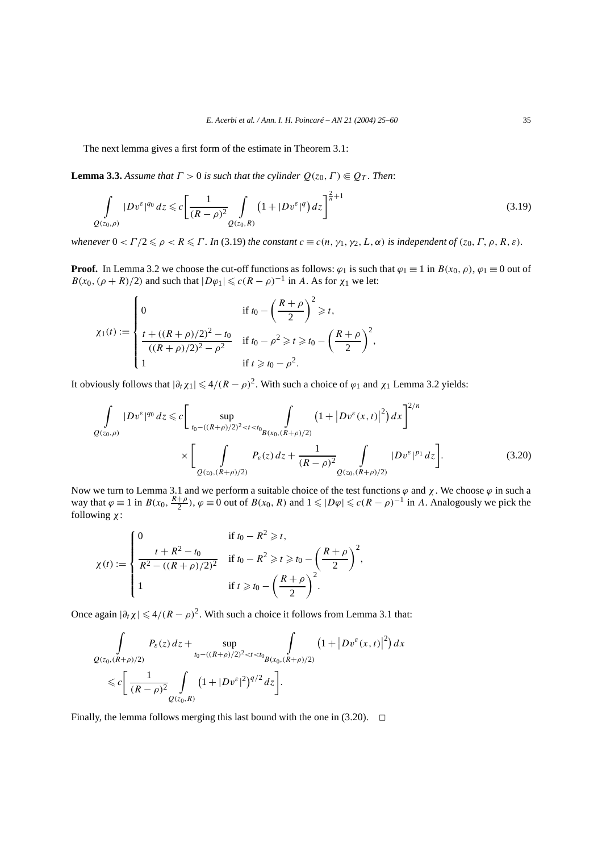The next lemma gives a first form of the estimate in Theorem 3.1:

**Lemma 3.3.** *Assume that*  $\Gamma > 0$  *is such that the cylinder*  $Q(z_0, \Gamma) \in Q_T$ *. Then:* 

$$
\int_{Q(z_0,\rho)} |Dv^{\varepsilon}|^{q_0} dz \leqslant c \left[ \frac{1}{(R-\rho)^2} \int_{Q(z_0,R)} \left( 1 + |Dv^{\varepsilon}|^q \right) dz \right]^{\frac{2}{n}+1} \tag{3.19}
$$

*whenever*  $0 < \Gamma/2 \le \rho < R \le \Gamma$ . In (3.19) the constant  $c \equiv c(n, \gamma_1, \gamma_2, L, \alpha)$  *is independent of*  $(z_0, \Gamma, \rho, R, \varepsilon)$ *.* 

**Proof.** In Lemma 3.2 we choose the cut-off functions as follows:  $\varphi_1$  is such that  $\varphi_1 \equiv 1$  in  $B(x_0, \rho)$ ,  $\varphi_1 \equiv 0$  out of  $B(x_0, (\rho + R)/2)$  and such that  $|D\varphi_1| \leq c(R - \rho)^{-1}$  in *A*. As for  $\chi_1$  we let:

$$
\chi_1(t) := \begin{cases} 0 & \text{if } t_0 - \left(\frac{R+\rho}{2}\right)^2 \ge t, \\ \frac{t + ((R+\rho)/2)^2 - t_0}{((R+\rho)/2)^2 - \rho^2} & \text{if } t_0 - \rho^2 \ge t \ge t_0 - \left(\frac{R+\rho}{2}\right)^2, \\ 1 & \text{if } t \ge t_0 - \rho^2. \end{cases}
$$

It obviously follows that  $|\partial_t \chi_1| \leq 4/(R-\rho)^2$ . With such a choice of  $\varphi_1$  and  $\chi_1$  Lemma 3.2 yields:

$$
\int_{Q(z_0,\rho)} |Dv^{\varepsilon}|^{q_0} dz \leq c \Bigg[ \sup_{t_0 - ((R+\rho)/2)^2 < t < t_0} \int_{B(x_0, (R+\rho)/2)} \left(1 + |Dv^{\varepsilon}(x,t)|^2\right) dx \Bigg]^{2/n} \times \Bigg[ \int_{Q(z_0, (R+\rho)/2)} P_{\varepsilon}(z) dz + \frac{1}{(R-\rho)^2} \int_{Q(z_0, (R+\rho)/2)} |Dv^{\varepsilon}|^{p_1} dz \Bigg]. \tag{3.20}
$$

Now we turn to Lemma 3.1 and we perform a suitable choice of the test functions *ϕ* and *χ*. We choose *ϕ* in such a way that  $\varphi \equiv 1$  in  $B(x_0, \frac{R+\rho}{2})$ ,  $\varphi \equiv 0$  out of  $B(x_0, R)$  and  $1 \leq |D\varphi| \leq c(R-\rho)^{-1}$  in *A*. Analogously we pick the following *χ*:

$$
\chi(t) := \begin{cases}\n0 & \text{if } t_0 - R^2 \geq t, \\
\frac{t + R^2 - t_0}{R^2 - ((R + \rho)/2)^2} & \text{if } t_0 - R^2 \geq t \geq t_0 - \left(\frac{R + \rho}{2}\right)^2, \\
1 & \text{if } t \geq t_0 - \left(\frac{R + \rho}{2}\right)^2.\n\end{cases}
$$

Once again  $|\partial_t \chi| \leq 4/(R - \rho)^2$ . With such a choice it follows from Lemma 3.1 that:

$$
\int_{Q(z_0,(R+\rho)/2)} P_{\varepsilon}(z) dz + \sup_{t_0 - ((R+\rho)/2)^2 < t < t_0} \int_{B(x_0,(R+\rho)/2)} (1 + |Dv^{\varepsilon}(x,t)|^2) dx
$$
  
\$\leq c \left[ \frac{1}{(R-\rho)^2} \int\_{Q(z\_0,R)} (1 + |Dv^{\varepsilon}|^2)^{q/2} dz \right].

Finally, the lemma follows merging this last bound with the one in  $(3.20)$ .  $\Box$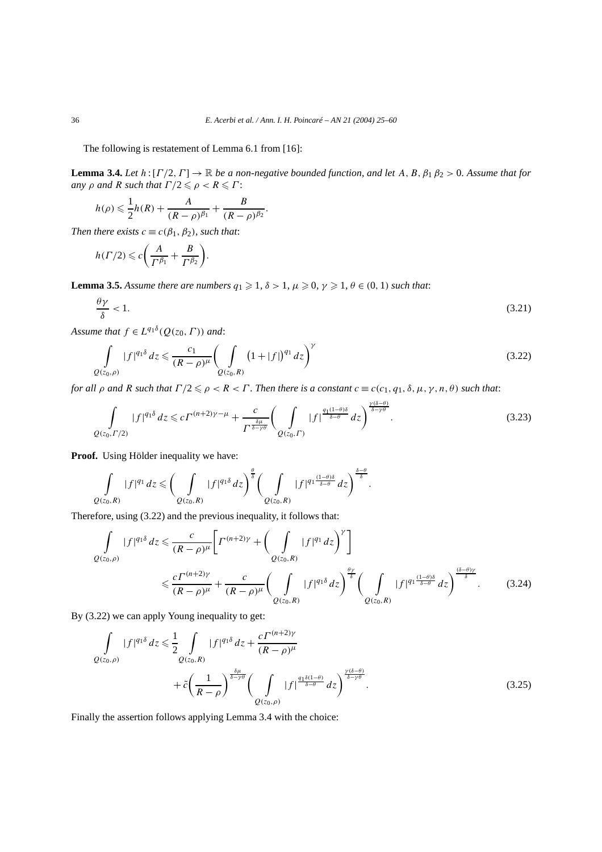The following is restatement of Lemma 6.1 from [16]:

**Lemma 3.4.** *Let*  $h: [\Gamma/2, \Gamma] \to \mathbb{R}$  *be a non-negative bounded function, and let*  $A, B, \beta_1 \beta_2 > 0$ *. Assume that for any ρ and R such that*  $\Gamma/2 \leq \rho < R \leq \Gamma$ :

$$
h(\rho) \leqslant \frac{1}{2}h(R) + \frac{A}{(R-\rho)^{\beta_1}} + \frac{B}{(R-\rho)^{\beta_2}}.
$$

*Then there exists*  $c \equiv c(\beta_1, \beta_2)$ *, such that:* 

$$
h(\Gamma/2) \leq c \bigg( \frac{A}{\Gamma^{\beta_1}} + \frac{B}{\Gamma^{\beta_2}} \bigg).
$$

**Lemma 3.5.** Assume there are numbers  $q_1 \geq 1$ ,  $\delta > 1$ ,  $\mu \geq 0$ ,  $\gamma \geq 1$ ,  $\theta \in (0, 1)$  such that:

$$
\frac{\theta \gamma}{\delta} < 1. \tag{3.21}
$$

*Assume that*  $f \in L^{q_1 \delta}(Q(z_0, \Gamma))$  *and*:

$$
\int_{Q(z_0,\rho)} |f|^{q_1\delta} dz \leq \frac{c_1}{(R-\rho)^{\mu}} \left(\int_{Q(z_0,R)} (1+|f|)^{q_1} dz\right)^{\gamma}
$$
\n(3.22)

*for all*  $\rho$  *and*  $R$  *such that*  $\Gamma/2 \leq \rho < R < \Gamma$ . Then there is a constant  $c \equiv c(c_1, q_1, \delta, \mu, \gamma, n, \theta)$  *such that:* 

$$
\int_{Q(z_0,\Gamma/2)}|f|^{q_1\delta}dz \leqslant c\Gamma^{(n+2)\gamma-\mu}+\frac{c}{\Gamma^{\frac{\delta\mu}{\delta-\gamma\theta}}}\bigg(\int_{Q(z_0,\Gamma)}|f|^{\frac{q_1(1-\theta)\delta}{\delta-\theta}}dz\bigg)^{\frac{\gamma(\delta-\theta)}{\delta-\gamma\theta}}.
$$
\n(3.23)

**Proof.** Using Hölder inequality we have:

$$
\int_{Q(z_0,R)}|f|^{q_1}dz\leqslant \bigg(\int_{Q(z_0,R)}|f|^{q_1\delta}dz\bigg)^{\frac{\theta}{\delta}}\bigg(\int_{Q(z_0,R)}|f|^{q_1\frac{(1-\theta)\delta}{\delta-\theta}}dz\bigg)^{\frac{\delta-\theta}{\delta}}.
$$

Therefore, using (3.22) and the previous inequality, it follows that:

$$
\int_{Q(z_0,\rho)} |f|^{q_1\delta} dz \leq \frac{c}{(R-\rho)^{\mu}} \bigg[ \Gamma^{(n+2)\gamma} + \bigg( \int_{Q(z_0,R)} |f|^{q_1} dz \bigg)^{\gamma} \bigg]
$$
\n
$$
\leq \frac{c \Gamma^{(n+2)\gamma}}{(R-\rho)^{\mu}} + \frac{c}{(R-\rho)^{\mu}} \bigg( \int_{Q(z_0,R)} |f|^{q_1\delta} dz \bigg)^{\frac{\theta\gamma}{\delta}} \bigg( \int_{Q(z_0,R)} |f|^{q_1 \frac{(1-\theta)\delta}{\delta-\theta}} dz \bigg)^{\frac{(\delta-\theta)\gamma}{\delta}}.
$$
\n(3.24)

By (3.22) we can apply Young inequality to get:

$$
\int_{Q(z_0,\rho)} |f|^{q_1\delta} dz \le \frac{1}{2} \int_{Q(z_0,R)} |f|^{q_1\delta} dz + \frac{c \Gamma^{(n+2)\gamma}}{(R-\rho)^{\mu}} \n+ \tilde{c} \left(\frac{1}{R-\rho}\right)^{\frac{\delta\mu}{\delta-\gamma\theta}} \left(\int_{Q(z_0,\rho)} |f|^{q_1\delta(1-\theta)} dz\right)^{\frac{\gamma(\delta-\theta)}{\delta-\gamma\theta}}.
$$
\n(3.25)

Finally the assertion follows applying Lemma 3.4 with the choice: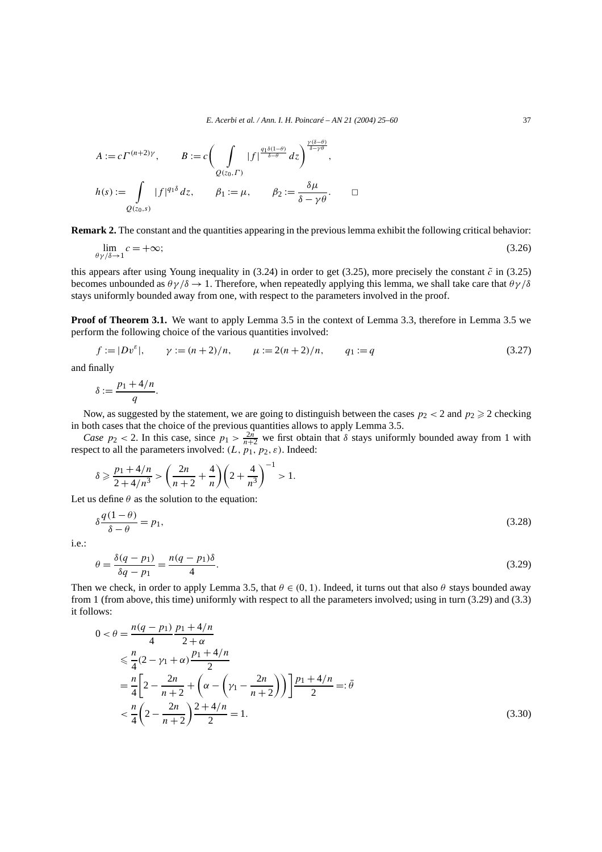$$
A := c \Gamma^{(n+2)\gamma}, \qquad B := c \bigg( \int_{Q(z_0, \Gamma)} |f|^{\frac{q_1 \delta(1-\theta)}{\delta-\theta}} dz \bigg)^{\frac{\gamma(\delta-\theta)}{\delta-\gamma\theta}},
$$
  

$$
h(s) := \int_{Q(z_0, s)} |f|^{q_1 \delta} dz, \qquad \beta_1 := \mu, \qquad \beta_2 := \frac{\delta \mu}{\delta - \gamma \theta}.
$$

**Remark 2.** The constant and the quantities appearing in the previous lemma exhibit the following critical behavior:

$$
\lim_{\theta \gamma/\delta \to 1} c = +\infty; \tag{3.26}
$$

this appears after using Young inequality in  $(3.24)$  in order to get  $(3.25)$ , more precisely the constant  $\tilde{c}$  in  $(3.25)$ becomes unbounded as  $\theta \gamma / \delta \rightarrow 1$ . Therefore, when repeatedly applying this lemma, we shall take care that  $\theta \gamma / \delta$ stays uniformly bounded away from one, with respect to the parameters involved in the proof.

**Proof of Theorem 3.1.** We want to apply Lemma 3.5 in the context of Lemma 3.3, therefore in Lemma 3.5 we perform the following choice of the various quantities involved:

$$
f := |Dv^{\varepsilon}|, \qquad \gamma := (n+2)/n, \qquad \mu := 2(n+2)/n, \qquad q_1 := q \tag{3.27}
$$

and finally

$$
\delta := \frac{p_1 + 4/n}{q}.
$$

Now, as suggested by the statement, we are going to distinguish between the cases  $p_2 < 2$  and  $p_2 \ge 2$  checking in both cases that the choice of the previous quantities allows to apply Lemma 3.5.

*Case*  $p_2$  < 2. In this case, since  $p_1 > \frac{2n}{n+2}$  we first obtain that  $\delta$  stays uniformly bounded away from 1 with respect to all the parameters involved:  $(L, p_1, p_2, \varepsilon)$ . Indeed:

$$
\delta \geqslant \frac{p_1 + 4/n}{2 + 4/n^3} > \left(\frac{2n}{n+2} + \frac{4}{n}\right)\left(2 + \frac{4}{n^3}\right)^{-1} > 1.
$$

Let us define  $\theta$  as the solution to the equation:

$$
\delta \frac{q(1-\theta)}{\delta - \theta} = p_1,\tag{3.28}
$$

i.e.:

$$
\theta = \frac{\delta(q - p_1)}{\delta q - p_1} = \frac{n(q - p_1)\delta}{4}.
$$
\n(3.29)

Then we check, in order to apply Lemma 3.5, that  $\theta \in (0, 1)$ . Indeed, it turns out that also  $\theta$  stays bounded away from 1 (from above, this time) uniformly with respect to all the parameters involved; using in turn (3.29) and (3.3) it follows:

$$
0 < \theta = \frac{n(q - p_1)}{4} \frac{p_1 + 4/n}{2 + \alpha}
$$
  
\n
$$
\leq \frac{n}{4} (2 - \gamma_1 + \alpha) \frac{p_1 + 4/n}{2}
$$
  
\n
$$
= \frac{n}{4} \left[ 2 - \frac{2n}{n+2} + \left( \alpha - \left( \gamma_1 - \frac{2n}{n+2} \right) \right) \right] \frac{p_1 + 4/n}{2} =: \bar{\theta}
$$
  
\n
$$
< \frac{n}{4} \left( 2 - \frac{2n}{n+2} \right) \frac{2 + 4/n}{2} = 1.
$$
\n(3.30)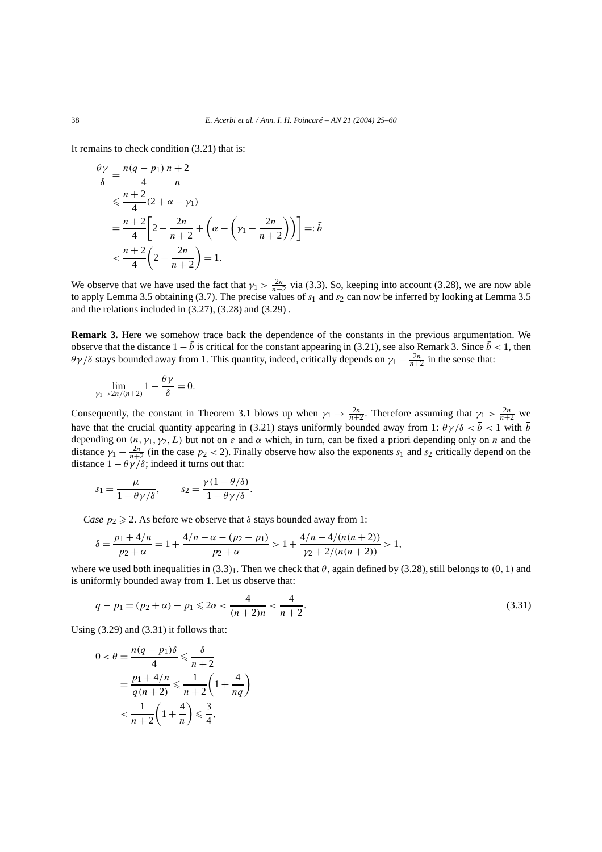It remains to check condition (3.21) that is:

$$
\frac{\theta \gamma}{\delta} = \frac{n(q - p_1)}{4} \frac{n+2}{n}
$$
  
\n
$$
\leq \frac{n+2}{4} (2 + \alpha - \gamma_1)
$$
  
\n
$$
= \frac{n+2}{4} \left[ 2 - \frac{2n}{n+2} + \left( \alpha - \left( \gamma_1 - \frac{2n}{n+2} \right) \right) \right] =: \bar{b}
$$
  
\n
$$
< \frac{n+2}{4} \left( 2 - \frac{2n}{n+2} \right) = 1.
$$

We observe that we have used the fact that  $\gamma_1 > \frac{2n}{n+2}$  via (3.3). So, keeping into account (3.28), we are now able to apply Lemma 3.5 obtaining (3.7). The precise values of *s*<sup>1</sup> and *s*<sup>2</sup> can now be inferred by looking at Lemma 3.5 and the relations included in (3.27), (3.28) and (3.29) .

**Remark 3.** Here we somehow trace back the dependence of the constants in the previous argumentation. We observe that the distance  $1 - \bar{b}$  is critical for the constant appearing in (3.21), see also Remark 3. Since  $\bar{b} < 1$ , then *θ γ /δ* stays bounded away from 1. This quantity, indeed, critically depends on  $\gamma_1 - \frac{2n}{n+2}$  in the sense that:

$$
\lim_{\gamma_1 \to 2n/(n+2)} 1 - \frac{\theta \gamma}{\delta} = 0.
$$

Consequently, the constant in Theorem 3.1 blows up when  $\gamma_1 \to \frac{2n}{n+2}$ . Therefore assuming that  $\gamma_1 > \frac{2n}{n+2}$  we have that the crucial quantity appearing in (3.21) stays uniformly bounded away from 1:  $\theta \gamma / \delta < \bar{b} < 1$  with  $\bar{b}$ depending on *(n, γ*1*, γ*2*, L)* but not on *ε* and *α* which, in turn, can be fixed a priori depending only on *n* and the distance  $\gamma_1 - \frac{2n}{n+2}$  (in the case  $p_2 < 2$ ). Finally observe how also the exponents  $s_1$  and  $s_2$  critically depend on the distance  $1 - \theta \gamma / \delta$ ; indeed it turns out that:

$$
s_1 = \frac{\mu}{1 - \theta \gamma/\delta}, \qquad s_2 = \frac{\gamma(1 - \theta/\delta)}{1 - \theta \gamma/\delta}.
$$

*Case*  $p_2 \ge 2$ . As before we observe that  $\delta$  stays bounded away from 1:

$$
\delta = \frac{p_1 + 4/n}{p_2 + \alpha} = 1 + \frac{4/n - \alpha - (p_2 - p_1)}{p_2 + \alpha} > 1 + \frac{4/n - 4/(n(n+2))}{\gamma_2 + 2/(n(n+2))} > 1,
$$

where we used both inequalities in  $(3.3)_1$ . Then we check that  $\theta$ , again defined by  $(3.28)$ , still belongs to  $(0, 1)$  and is uniformly bounded away from 1. Let us observe that:

$$
q - p_1 = (p_2 + \alpha) - p_1 \leq 2\alpha < \frac{4}{(n+2)n} < \frac{4}{n+2}.\tag{3.31}
$$

Using (3.29) and (3.31) it follows that:

$$
0 < \theta = \frac{n(q - p_1)\delta}{4} \le \frac{\delta}{n+2}
$$
  
= 
$$
\frac{p_1 + 4/n}{q(n+2)} \le \frac{1}{n+2} \left(1 + \frac{4}{nq}\right)
$$
  

$$
< \frac{1}{n+2} \left(1 + \frac{4}{n}\right) \le \frac{3}{4},
$$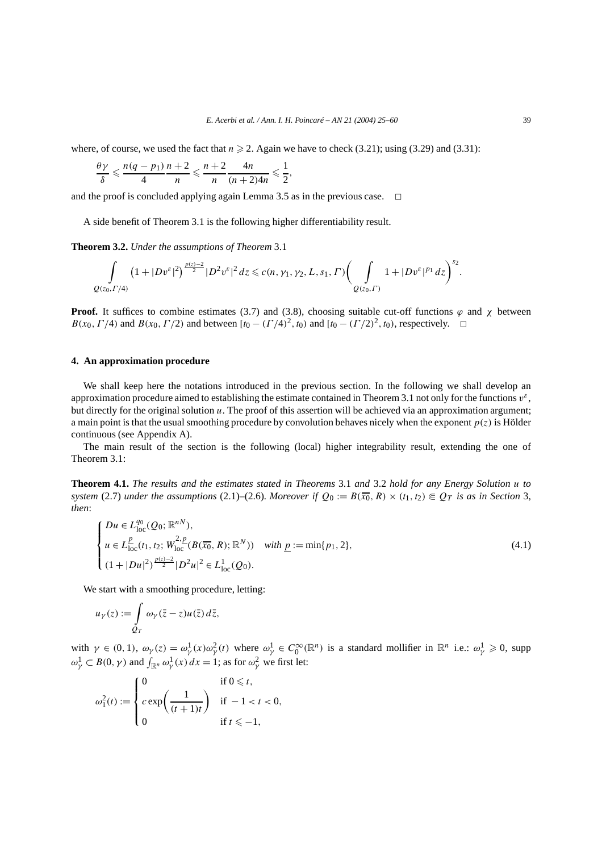where, of course, we used the fact that  $n \ge 2$ . Again we have to check (3.21); using (3.29) and (3.31):

$$
\frac{\theta\gamma}{\delta} \leqslant \frac{n(q-p_1)}{4}\frac{n+2}{n} \leqslant \frac{n+2}{n}\frac{4n}{(n+2)4n} \leqslant \frac{1}{2},
$$

and the proof is concluded applying again Lemma 3.5 as in the previous case.  $\Box$ 

A side benefit of Theorem 3.1 is the following higher differentiability result.

**Theorem 3.2.** *Under the assumptions of Theorem* 3.1

$$
\int_{Q(z_0,\Gamma/4)} (1+|Dv^{\varepsilon}|^2)^{\frac{p(z)-2}{2}}|D^2v^{\varepsilon}|^2 dz \leq c(n,\gamma_1,\gamma_2,L,s_1,\Gamma)\bigg(\int_{Q(z_0,\Gamma)} 1+|Dv^{\varepsilon}|^{p_1} dz\bigg)^{s_2}.
$$

**Proof.** It suffices to combine estimates (3.7) and (3.8), choosing suitable cut-off functions  $\varphi$  and  $\chi$  between *B(x*<sub>0</sub>*,Γ/*4*)* and *B(x*<sub>0</sub>*,Γ/*2*)* and between  $[t_0 - (T/4)^2, t_0)$  and  $[t_0 - (T/2)^2, t_0)$ , respectively.  $\Box$ 

# **4. An approximation procedure**

We shall keep here the notations introduced in the previous section. In the following we shall develop an approximation procedure aimed to establishing the estimate contained in Theorem 3.1 not only for the functions  $v^{\varepsilon}$ , but directly for the original solution *u*. The proof of this assertion will be achieved via an approximation argument; a main point is that the usual smoothing procedure by convolution behaves nicely when the exponent  $p(z)$  is Hölder continuous (see Appendix A).

The main result of the section is the following (local) higher integrability result, extending the one of Theorem 3.1:

**Theorem 4.1.** *The results and the estimates stated in Theorems* 3.1 *and* 3.2 *hold for any Energy Solution u to system* (2.7) *under the assumptions* (2.1)–(2.6)*. Moreover if*  $Q_0 := B(\overline{x_0}, R) \times (t_1, t_2) \in Q_T$  *is as in Section* 3*, then*:

$$
\begin{cases}\nDu \in L_{\text{loc}}^{q_0}(Q_0; \mathbb{R}^{nN}), \\
u \in L_{\text{loc}}^{\underline{p}}(t_1, t_2; W_{\text{loc}}^{2, \underline{p}}(B(\overline{x_0}, R); \mathbb{R}^N)) \quad \text{with } \underline{p} := \min\{p_1, 2\}, \\
(1 + |Du|^2)^{\frac{p(z)-2}{2}} |D^2u|^2 \in L_{\text{loc}}^1(Q_0).\n\end{cases} \tag{4.1}
$$

We start with a smoothing procedure, letting:

$$
u_\gamma(z):=\int\limits_{Q_T}\omega_\gamma(\bar z-z)u(\bar z)\,d\bar z,
$$

with  $\gamma \in (0, 1)$ ,  $\omega_{\gamma}(z) = \omega_{\gamma}^{1}(x)\omega_{\gamma}^{2}(t)$  where  $\omega_{\gamma}^{1} \in C_0^{\infty}(\mathbb{R}^n)$  is a standard mollifier in  $\mathbb{R}^n$  i.e.:  $\omega_{\gamma}^{1} \geq 0$ , supp  $\omega_{\gamma}^{1} \subset B(0, \gamma)$  and  $\int_{\mathbb{R}^n} \omega_{\gamma}^{1}(x) dx = 1$ ; as for  $\omega_{\gamma}^{2}$  we first let:

$$
\omega_1^2(t):=\begin{cases}0 & \text{if } 0\leq t,\\ c\exp\left(\frac{1}{(t+1)t}\right) & \text{if }-1
$$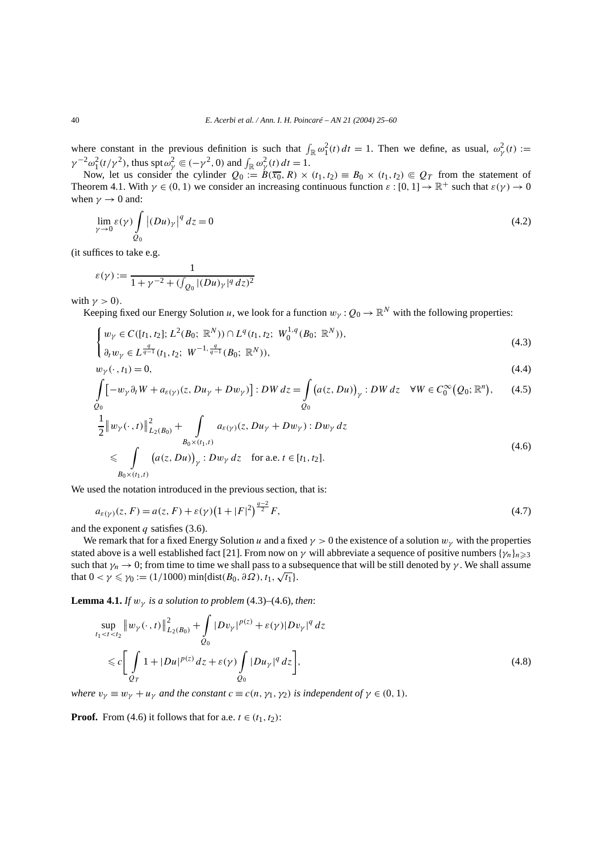where constant in the previous definition is such that  $\int_{\mathbb{R}} \omega_1^2(t) dt = 1$ . Then we define, as usual,  $\omega_\gamma^2(t) :=$  $\gamma^{-2}\omega_1^2(t/\gamma^2)$ , thus spt $\omega_\gamma^2 \in (-\gamma^2, 0)$  and  $\int_{\mathbb{R}} \omega_\gamma^2(t) dt = 1$ .

Now, let us consider the cylinder  $Q_0 := B(\overline{x_0}, R) \times (t_1, t_2) \equiv B_0 \times (t_1, t_2) \in Q_T$  from the statement of Theorem 4.1. With  $\gamma \in (0, 1)$  we consider an increasing continuous function  $\varepsilon : [0, 1] \to \mathbb{R}^+$  such that  $\varepsilon(\gamma) \to 0$ when  $\gamma \rightarrow 0$  and:

$$
\lim_{\gamma \to 0} \varepsilon(\gamma) \int_{Q_0} |(Du)_\gamma|^q \, dz = 0 \tag{4.2}
$$

(it suffices to take e.g.

 $\varepsilon(\gamma) := \frac{1}{1 + \frac{2 + \zeta(\zeta)}{1 + \zeta(\zeta)}}$  $1 + \gamma^{-2} + (\int_{Q_0} |(Du)_\gamma|^q dz)^2$ 

with  $\gamma > 0$ ).

Keeping fixed our Energy Solution *u*, we look for a function  $w_\gamma : Q_0 \to \mathbb{R}^N$  with the following properties:

$$
\begin{cases} w_{\gamma} \in C([t_1, t_2]; L^2(B_0; \mathbb{R}^N)) \cap L^q(t_1, t_2; W_0^{1,q}(B_0; \mathbb{R}^N)), \\ \partial_t w_{\gamma} \in L^{\frac{q}{q-1}}(t_1, t_2; W^{-1, \frac{q}{q-1}}(B_0; \mathbb{R}^N)), \end{cases}
$$
(4.3)

$$
w_{\gamma}(\cdot, t_1) = 0,\tag{4.4}
$$

$$
\int_{Q_0} \left[ -w_{\gamma} \partial_t W + a_{\varepsilon(\gamma)}(z, Du_{\gamma} + Dw_{\gamma}) \right] : DW dz = \int_{Q_0} \left( a(z, Du) \right)_{\gamma} : DW dz \quad \forall W \in C_0^{\infty}(Q_0; \mathbb{R}^n), \tag{4.5}
$$

$$
\frac{1}{2} \|w_{\gamma}(\cdot,t)\|_{L_2(B_0)}^2 + \int_{B_0 \times (t_1,t)} a_{\varepsilon(\gamma)}(z, Du_{\gamma} + Dw_{\gamma}) : Dw_{\gamma} dz
$$
\n
$$
\leq \int_{B_0 \times (t_1,t)} (a(z, Du))_{\gamma} : Dw_{\gamma} dz \quad \text{for a.e. } t \in [t_1, t_2].
$$
\n(4.6)

We used the notation introduced in the previous section, that is:

$$
a_{\varepsilon(\gamma)}(z, F) = a(z, F) + \varepsilon(\gamma) \left(1 + |F|^2\right)^{\frac{q-2}{2}} F,\tag{4.7}
$$

and the exponent *q* satisfies (3.6).

We remark that for a fixed Energy Solution *u* and a fixed  $\gamma > 0$  the existence of a solution  $w_\gamma$  with the properties stated above is a well established fact [21]. From now on *γ* will abbreviate a sequence of positive numbers { $\gamma_n$ }*n* > 3 such that  $\gamma_n \to 0$ ; from time to time we shall pass to a subsequence that will be still denoted by *γ*. We shall assume that  $0 < \gamma \leq \gamma_0 := (1/1000) \min\{\text{dist}(B_0, \partial \Omega), t_1, \sqrt{t_1}\}.$ 

**Lemma 4.1.** *If*  $w_{\gamma}$  *is a solution to problem* (4.3)–(4.6)*, then*:

$$
\sup_{t_1 < t < t_2} \| w_{\gamma}(\cdot, t) \|_{L_2(B_0)}^2 + \int_{Q_0} |D v_{\gamma}|^{p(z)} + \varepsilon(\gamma) |D v_{\gamma}|^q \, dz
$$
\n
$$
\leq c \bigg[ \int_{Q_T} 1 + |D u|^{p(z)} \, dz + \varepsilon(\gamma) \int_{Q_0} |D u_{\gamma}|^q \, dz \bigg],\tag{4.8}
$$

*where*  $v_{\gamma} \equiv w_{\gamma} + u_{\gamma}$  *and the constant*  $c \equiv c(n, \gamma_1, \gamma_2)$  *is independent of*  $\gamma \in (0, 1)$ *.* 

**Proof.** From (4.6) it follows that for a.e.  $t \in (t_1, t_2)$ :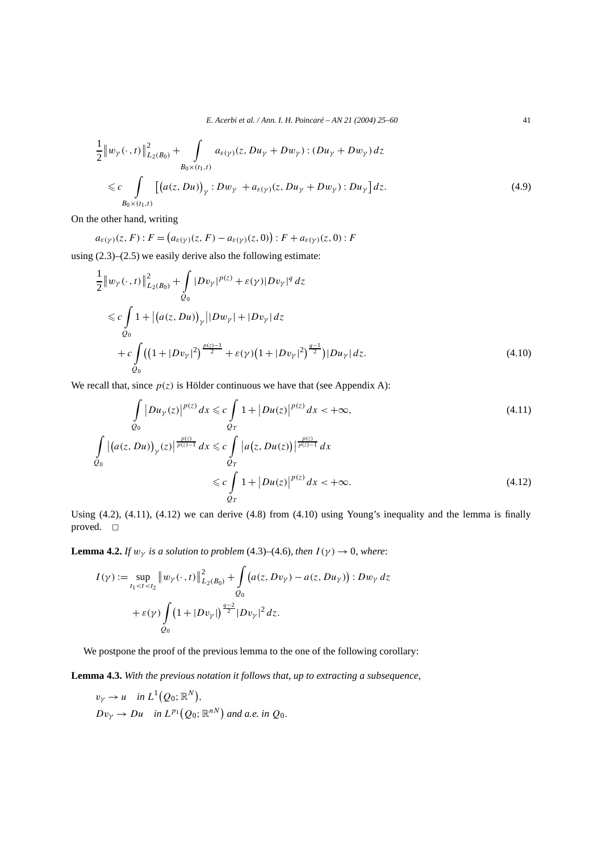*E. Acerbi et al. / Ann. I. H. Poincaré – AN 21 (2004) 25–60* 41

$$
\frac{1}{2} \|w_{\gamma}(\cdot,t)\|_{L_2(B_0)}^2 + \int_{B_0 \times (t_1,t)} a_{\varepsilon(\gamma)}(z, Du_{\gamma} + Dw_{\gamma}) : (Du_{\gamma} + Dw_{\gamma}) dz
$$
\n
$$
\leq c \int_{B_0 \times (t_1,t)} \left[ \left( a(z, Du) \right)_{\gamma} : Dw_{\gamma} + a_{\varepsilon(\gamma)}(z, Du_{\gamma} + Dw_{\gamma}) : Du_{\gamma} \right] dz.
$$
\n(4.9)

On the other hand, writing

$$
a_{\varepsilon(\gamma)}(z, F) : F = (a_{\varepsilon(\gamma)}(z, F) - a_{\varepsilon(\gamma)}(z, 0)) : F + a_{\varepsilon(\gamma)}(z, 0) : F
$$

using (2.3)–(2.5) we easily derive also the following estimate:

$$
\frac{1}{2} ||w_{\gamma}(\cdot,t)||^{2}_{L_{2}(B_{0})} + \int_{Q_{0}} |Dv_{\gamma}|^{p(z)} + \varepsilon(\gamma)|Dv_{\gamma}|^{q} dz
$$
\n
$$
\leq c \int_{Q_{0}} 1 + |(a(z,Du))_{\gamma}||Dw_{\gamma}| + |Dv_{\gamma}| dz
$$
\n
$$
+ c \int_{Q_{0}} ((1+|Dv_{\gamma}|^{2})^{\frac{p(z)-1}{2}} + \varepsilon(\gamma)(1+|Dv_{\gamma}|^{2})^{\frac{q-1}{2}})|Du_{\gamma}| dz.
$$
\n(4.10)

We recall that, since  $p(z)$  is Hölder continuous we have that (see Appendix A):

$$
\int_{Q_0} |Du_{\gamma}(z)|^{p(z)} dx \leq c \int_{Q_T} 1 + |Du(z)|^{p(z)} dx < +\infty,
$$
\n(4.11)

$$
\int_{Q_0} \left| \left( a(z, Du) \right)_{\gamma}(z) \right| \frac{p(z)}{p(z)-1} dx \leqslant c \int_{Q_T} \left| a(z, Du(z)) \right| \frac{p(z)}{p(z)-1} dx
$$
\n
$$
\leqslant c \int_{Q_T} 1 + \left| Du(z) \right|^{p(z)} dx < +\infty.
$$
\n(4.12)

Using (4.2), (4.11), (4.12) we can derive (4.8) from (4.10) using Young's inequality and the lemma is finally proved.  $\square$ 

**Lemma 4.2.** *If*  $w_{\gamma}$  *is a solution to problem* (4.3)–(4.6)*, then*  $I(\gamma) \rightarrow 0$ *, where:* 

$$
I(\gamma) := \sup_{t_1 < t < t_2} \left\| w_{\gamma}(\cdot, t) \right\|_{L_2(B_0)}^2 + \int_{Q_0} \left( a(z, D v_{\gamma}) - a(z, D u_{\gamma}) \right) : D w_{\gamma} \, dz
$$
\n
$$
+ \varepsilon(\gamma) \int_{Q_0} \left( 1 + |D v_{\gamma}| \right)^{\frac{q-2}{2}} |D v_{\gamma}|^2 \, dz.
$$

We postpone the proof of the previous lemma to the one of the following corollary:

**Lemma 4.3.** *With the previous notation it follows that, up to extracting a subsequence,*

$$
v_Y \rightarrow u
$$
 in  $L^1(Q_0; \mathbb{R}^N)$ ,  
\n $Dv_Y \rightarrow Du$  in  $L^{p_1}(Q_0; \mathbb{R}^{nN})$  and a.e. in  $Q_0$ .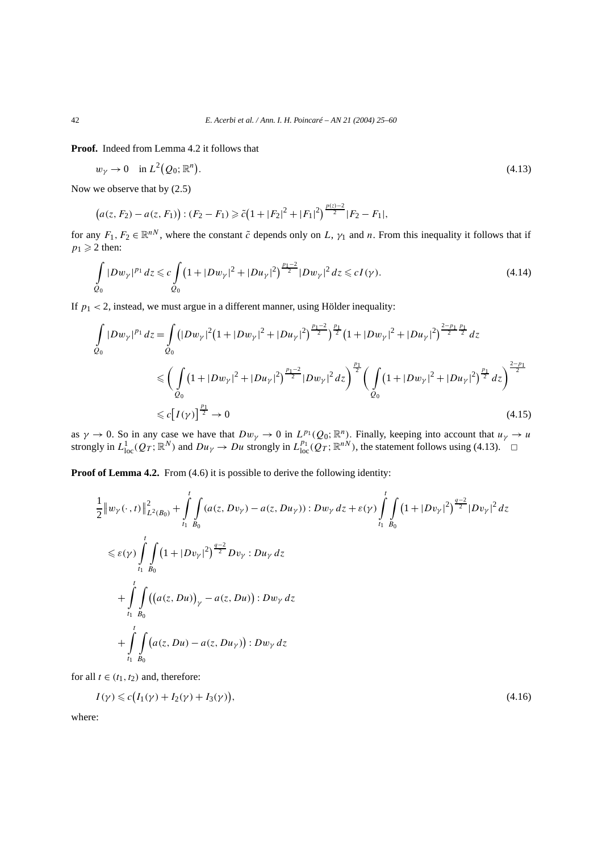**Proof.** Indeed from Lemma 4.2 it follows that

$$
w_{\gamma} \to 0 \quad \text{in } L^2(Q_0; \mathbb{R}^n). \tag{4.13}
$$

Now we observe that by (2.5)

$$
(a(z, F_2) - a(z, F_1)) : (F_2 - F_1) \ge \tilde{c} \left(1 + |F_2|^2 + |F_1|^2\right)^{\frac{p(z) - 2}{2}} |F_2 - F_1|,
$$

for any  $F_1, F_2 \in \mathbb{R}^{nN}$ , where the constant  $\tilde{c}$  depends only on *L*,  $\gamma_1$  and *n*. From this inequality it follows that if  $p_1 \geqslant 2$  then:

$$
\int_{Q_0} |Dw_{\gamma}|^{p_1} dz \leq c \int_{Q_0} \left(1 + |Dw_{\gamma}|^2 + |Du_{\gamma}|^2\right)^{\frac{p_1-2}{2}} |Dw_{\gamma}|^2 dz \leq c I(\gamma).
$$
\n(4.14)

If  $p_1 < 2$ , instead, we must argue in a different manner, using Hölder inequality:

$$
\int_{Q_0} |Dw_{\gamma}|^{p_1} dz = \int_{Q_0} (|Dw_{\gamma}|^2 (1+|Dw_{\gamma}|^2 + |Du_{\gamma}|^2)^{\frac{p_1-2}{2}})^{\frac{p_1}{2}} (1+|Dw_{\gamma}|^2 + |Du_{\gamma}|^2)^{\frac{2-p_1}{2}} dz
$$
\n
$$
\leq \left( \int_{Q_0} (1+|Dw_{\gamma}|^2 + |Du_{\gamma}|^2)^{\frac{p_1-2}{2}} |Dw_{\gamma}|^2 dz \right)^{\frac{p_1}{2}} \left( \int_{Q_0} (1+|Dw_{\gamma}|^2 + |Du_{\gamma}|^2)^{\frac{p_1}{2}} dz \right)^{\frac{2-p_1}{2}}
$$
\n
$$
\leq c [I(\gamma)]^{\frac{p_1}{2}} \to 0
$$
\n(4.15)

as  $\gamma \to 0$ . So in any case we have that  $Dw_\gamma \to 0$  in  $L^{p_1}(Q_0; \mathbb{R}^n)$ . Finally, keeping into account that  $u_\gamma \to u$ strongly in  $L_{loc}^1(Q_T; \mathbb{R}^N)$  and  $Du_\gamma \to Du$  strongly in  $L_{loc}^{p_1}(\widetilde{Q}_T; \mathbb{R}^{nN})$ , the statement follows using (4.13).

**Proof of Lemma 4.2.** From (4.6) it is possible to derive the following identity:

$$
\frac{1}{2} \|w_{\gamma}(\cdot,t)\|_{L^{2}(B_{0})}^{2} + \int_{t_{1}}^{t} \int_{B_{0}} (a(z,Dv_{\gamma}) - a(z,Du_{\gamma})): Dw_{\gamma} dz + \varepsilon(\gamma) \int_{t_{1}}^{t} \int_{B_{0}} (1+|Dv_{\gamma}|^{2})^{\frac{q-2}{2}} |Dv_{\gamma}|^{2} dz
$$
\n
$$
\leq \varepsilon(\gamma) \int_{t_{1}}^{t} \int_{B_{0}} (1+|Dv_{\gamma}|^{2})^{\frac{q-2}{2}} Dv_{\gamma}: Du_{\gamma} dz
$$
\n
$$
+ \int_{t_{1}}^{t} \int_{B_{0}} ((a(z,Du))_{\gamma} - a(z,Du)): Dw_{\gamma} dz
$$
\n
$$
+ \int_{t_{1}}^{t} \int_{B_{0}} (a(z,Du) - a(z,Du_{\gamma})): Dw_{\gamma} dz
$$

for all  $t \in (t_1, t_2)$  and, therefore:

$$
I(\gamma) \leq c(I_1(\gamma) + I_2(\gamma) + I_3(\gamma)),\tag{4.16}
$$

where: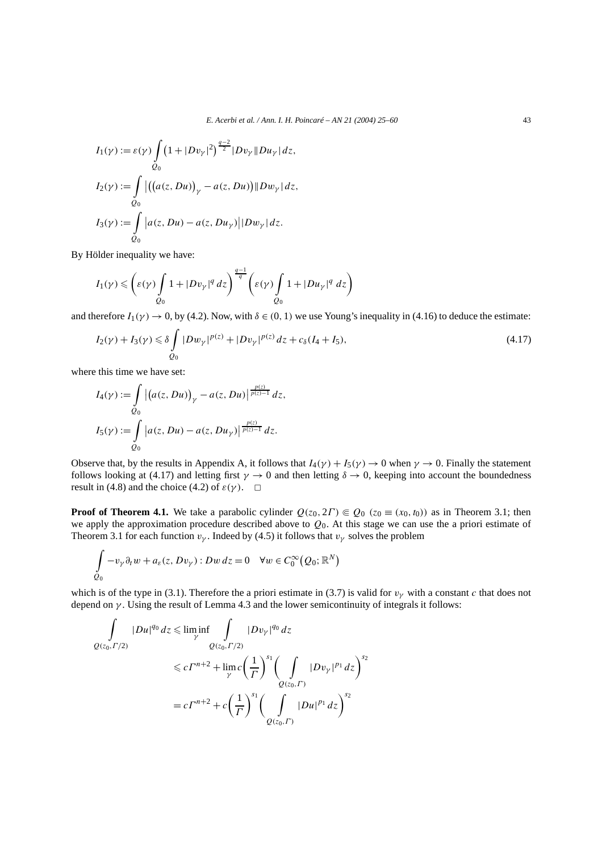$$
I_1(\gamma) := \varepsilon(\gamma) \int_{Q_0} \left(1 + |D v_\gamma|^2\right)^{\frac{q-2}{2}} |D v_\gamma| |Du_\gamma| dz,
$$
  
\n
$$
I_2(\gamma) := \int_{Q_0} \left| \left(\left(a(z, Du)\right)_\gamma - a(z, Du)\right) ||D w_\gamma| dz, \right.
$$
  
\n
$$
I_3(\gamma) := \int_{Q_0} |a(z, Du) - a(z, Du_\gamma)| |D w_\gamma| dz.
$$

By Hölder inequality we have:

$$
I_1(\gamma) \leqslant \left(\varepsilon(\gamma) \int\limits_{Q_0} 1 + |D v_\gamma|^q \, dz\right)^{\frac{q-1}{q}} \left(\varepsilon(\gamma) \int\limits_{Q_0} 1 + |D u_\gamma|^q \, dz\right)
$$

and therefore  $I_1(\gamma) \to 0$ , by (4.2). Now, with  $\delta \in (0, 1)$  we use Young's inequality in (4.16) to deduce the estimate:

$$
I_2(\gamma) + I_3(\gamma) \le \delta \int_{Q_0} |Dw_\gamma|^{p(z)} + |Dv_\gamma|^{p(z)} dz + c_\delta (I_4 + I_5), \tag{4.17}
$$

where this time we have set:

$$
I_4(\gamma) := \int_{Q_0} \left| \left( a(z, Du) \right)_{\gamma} - a(z, Du) \right| \frac{p(z)}{p(z) - 1} \, dz,
$$
  

$$
I_5(\gamma) := \int_{Q_0} \left| a(z, Du) - a(z, Du_{\gamma}) \right| \frac{p(z)}{p(z) - 1} \, dz.
$$

Observe that, by the results in Appendix A, it follows that  $I_4(\gamma) + I_5(\gamma) \to 0$  when  $\gamma \to 0$ . Finally the statement follows looking at (4.17) and letting first  $\gamma \to 0$  and then letting  $\delta \to 0$ , keeping into account the boundedness result in (4.8) and the choice (4.2) of  $\varepsilon(\gamma)$ .  $\Box$ 

**Proof of Theorem 4.1.** We take a parabolic cylinder  $Q(z_0, 2\Gamma) \in Q_0$   $(z_0 \equiv (x_0, t_0))$  as in Theorem 3.1; then we apply the approximation procedure described above to *Q*0. At this stage we can use the a priori estimate of Theorem 3.1 for each function  $v_\gamma$ . Indeed by (4.5) it follows that  $v_\gamma$  solves the problem

$$
\int_{Q_0} -v_\gamma \partial_t w + a_\varepsilon(z, Dv_\gamma) : Dw \, dz = 0 \quad \forall w \in C_0^\infty(Q_0; \mathbb{R}^N)
$$

which is of the type in (3.1). Therefore the a priori estimate in (3.7) is valid for  $v<sub>\gamma</sub>$  with a constant *c* that does not depend on *γ* . Using the result of Lemma 4.3 and the lower semicontinuity of integrals it follows:

$$
\int_{Q(z_0, \Gamma/2)} |Du|^{q_0} dz \le \liminf_{\gamma} \int_{Q(z_0, \Gamma/2)} |Dv_{\gamma}|^{q_0} dz
$$
\n
$$
\le c\Gamma^{n+2} + \lim_{\gamma} c\left(\frac{1}{\Gamma}\right)^{s_1} \left(\int_{Q(z_0, \Gamma)} |Dv_{\gamma}|^{p_1} dz\right)^{s_2}
$$
\n
$$
= c\Gamma^{n+2} + c\left(\frac{1}{\Gamma}\right)^{s_1} \left(\int_{Q(z_0, \Gamma)} |Du|^{p_1} dz\right)^{s_2}
$$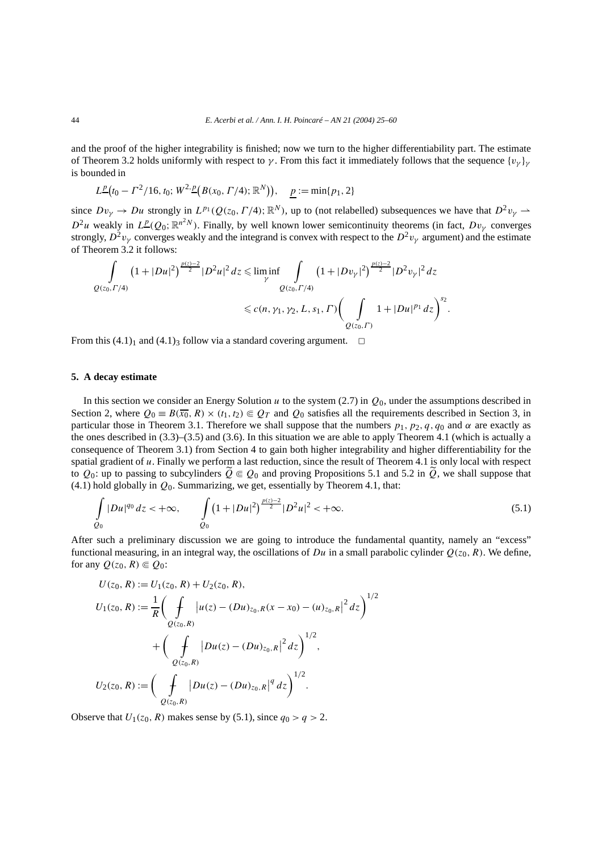and the proof of the higher integrability is finished; now we turn to the higher differentiability part. The estimate of Theorem 3.2 holds uniformly with respect to *γ*. From this fact it immediately follows that the sequence  $\{v_\gamma\}_\gamma$ is bounded in

$$
L^{\underline{p}}(t_0 - \Gamma^2/16, t_0; W^{2, \underline{p}}(B(x_0, \Gamma/4); \mathbb{R}^N)), \quad \underline{p} := \min\{p_1, 2\}
$$

since  $Dv_{\gamma} \to Du$  strongly in  $L^{p_1}(Q(z_0, \Gamma/4); \mathbb{R}^N)$ , up to (not relabelled) subsequences we have that  $D^2v_{\gamma} \to$  $D^2u$  weakly in  $L^p(Q_0; \mathbb{R}^{n^2N})$ . Finally, by well known lower semicontinuity theorems (in fact,  $Dv_\gamma$  converges strongly,  $D^2v_\gamma$  converges weakly and the integrand is convex with respect to the  $D^2v_\gamma$  argument) and the estimate of Theorem 3.2 it follows:

$$
\int_{Q(z_0,\Gamma/4)} (1+|Du|^2)^{\frac{p(z)-2}{2}}|D^2u|^2 dz \leq \liminf_{\gamma} \int_{Q(z_0,\Gamma/4)} (1+|Dv_{\gamma}|^2)^{\frac{p(z)-2}{2}}|D^2v_{\gamma}|^2 dz
$$
  

$$
\leq c(n,\gamma_1,\gamma_2,L,s_1,\Gamma)\left(\int_{Q(z_0,\Gamma)} 1+|Du|^{p_1} dz\right)^{s_2}.
$$

From this  $(4.1)<sub>1</sub>$  and  $(4.1)<sub>3</sub>$  follow via a standard covering argument.  $\Box$ 

#### **5. A decay estimate**

In this section we consider an Energy Solution *u* to the system (2.7) in *Q*0, under the assumptions described in Section 2, where  $Q_0 = B(\overline{x_0}, R) \times (t_1, t_2) \in Q_T$  and  $Q_0$  satisfies all the requirements described in Section 3, in particular those in Theorem 3.1. Therefore we shall suppose that the numbers  $p_1$ ,  $p_2$ ,  $q$ ,  $q_0$  and  $\alpha$  are exactly as the ones described in (3.3)–(3.5) and (3.6). In this situation we are able to apply Theorem 4.1 (which is actually a consequence of Theorem 3.1) from Section 4 to gain both higher integrability and higher differentiability for the spatial gradient of *u*. Finally we perform a last reduction, since the result of Theorem 4.1 is only local with respect to  $Q_0$ : up to passing to subcylinders  $\tilde{Q} \in Q_0$  and proving Propositions 5.1 and 5.2 in  $\tilde{Q}$ , we shall suppose that  $(4.1)$  hold globally in  $Q_0$ . Summarizing, we get, essentially by Theorem 4.1, that:

$$
\int_{Q_0} |Du|^{q_0} dz < +\infty, \qquad \int_{Q_0} \left(1 + |Du|^2\right)^{\frac{p(z)-2}{2}} |D^2u|^2 < +\infty.
$$
\n(5.1)

After such a preliminary discussion we are going to introduce the fundamental quantity, namely an "excess" functional measuring, in an integral way, the oscillations of *Du* in a small parabolic cylinder  $Q(z_0, R)$ . We define, for any  $Q(z_0, R) \in Q_0$ :

$$
U(z_0, R) := U_1(z_0, R) + U_2(z_0, R),
$$
  
\n
$$
U_1(z_0, R) := \frac{1}{R} \bigg( \int_{Q(z_0, R)} |u(z) - (Du)_{z_0, R}(x - x_0) - (u)_{z_0, R}|^2 dz \bigg)^{1/2} + \bigg( \int_{Q(z_0, R)} |Du(z) - (Du)_{z_0, R}|^2 dz \bigg)^{1/2},
$$
  
\n
$$
U_2(z_0, R) := \bigg( \int_{Q(z_0, R)} |Du(z) - (Du)_{z_0, R}|^q dz \bigg)^{1/2}.
$$

Observe that  $U_1(z_0, R)$  makes sense by (5.1), since  $q_0 > q > 2$ .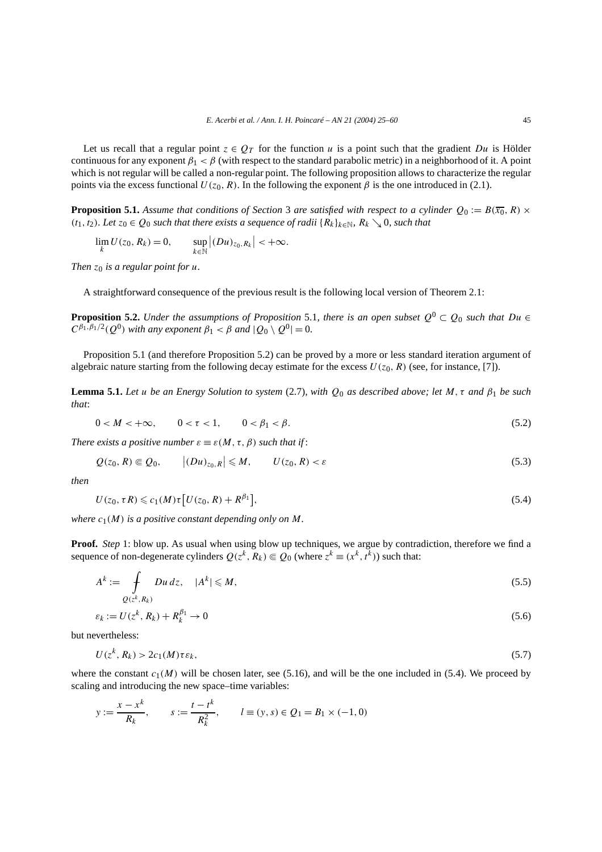Let us recall that a regular point  $z \in Q_T$  for the function *u* is a point such that the gradient *Du* is Hölder continuous for any exponent  $\beta_1 < \beta$  (with respect to the standard parabolic metric) in a neighborhood of it. A point which is not regular will be called a non-regular point. The following proposition allows to characterize the regular points via the excess functional  $U(z_0, R)$ . In the following the exponent  $\beta$  is the one introduced in (2.1).

**Proposition 5.1.** Assume that conditions of Section 3 are satisfied with respect to a cylinder  $Q_0 := B(\overline{x_0}, R) \times$ *(t*<sub>1</sub>*, t*<sub>2</sub>*). Let z*<sub>0</sub> ∈ *Q*<sub>0</sub> *such that there exists a sequence of radii* { $R_k$ } $_k ∈ ℕ$ *,*  $R_k ∖ θ$ *, such that* 

$$
\lim_{k} U(z_0, R_k) = 0, \qquad \sup_{k \in \mathbb{N}} |(Du)_{z_0, R_k}| < +\infty.
$$

*Then*  $z_0$  *is a regular point for u.* 

A straightforward consequence of the previous result is the following local version of Theorem 2.1:

**Proposition 5.2.** *Under the assumptions of Proposition* 5.1*, there is an open subset*  $Q^0 \subset Q_0$  *such that*  $Du \in$  $C^{\beta_1, \beta_1/2}(Q^0)$  *with any exponent*  $\beta_1 < \beta$  *and*  $|Q_0 \setminus Q^0| = 0$ *.* 

Proposition 5.1 (and therefore Proposition 5.2) can be proved by a more or less standard iteration argument of algebraic nature starting from the following decay estimate for the excess  $U(z_0, R)$  (see, for instance, [7]).

**Lemma 5.1.** *Let u be an Energy Solution to system* (2.7)*, with Q*<sup>0</sup> *as described above; let M,τ and β*<sup>1</sup> *be such that*:

$$
0 < M < +\infty, \qquad 0 < \tau < 1, \qquad 0 < \beta_1 < \beta. \tag{5.2}
$$

*There exists a positive number*  $\varepsilon \equiv \varepsilon(M, \tau, \beta)$  *such that if:* 

 $\sim$ 

$$
Q(z_0, R) \in Q_0, \qquad |(Du)_{z_0, R}| \leqslant M, \qquad U(z_0, R) < \varepsilon \tag{5.3}
$$

*then*

$$
U(z_0, \tau R) \leqslant c_1(M)\tau \left[ U(z_0, R) + R^{\beta_1} \right],\tag{5.4}
$$

*where*  $c_1(M)$  *is a positive constant depending only on M.* 

**Proof.** *Step* 1: blow up. As usual when using blow up techniques, we argue by contradiction, therefore we find a sequence of non-degenerate cylinders  $Q(z^k, R_k) \in Q_0$  (where  $z^k \equiv (x^k, t^k)$ ) such that:

$$
A^k := \int_{Q(z^k, R_k)} Du \, dz, \quad |A^k| \leqslant M,
$$
\n
$$
(5.5)
$$

$$
\varepsilon_k := U(z^k, R_k) + R_k^{\beta_1} \to 0 \tag{5.6}
$$

but nevertheless:

$$
U(z^k, R_k) > 2c_1(M)\tau \varepsilon_k,\tag{5.7}
$$

where the constant  $c_1(M)$  will be chosen later, see (5.16), and will be the one included in (5.4). We proceed by scaling and introducing the new space–time variables:

$$
y := \frac{x - x^k}{R_k}
$$
,  $s := \frac{t - t^k}{R_k^2}$ ,  $l = (y, s) \in Q_1 = B_1 \times (-1, 0)$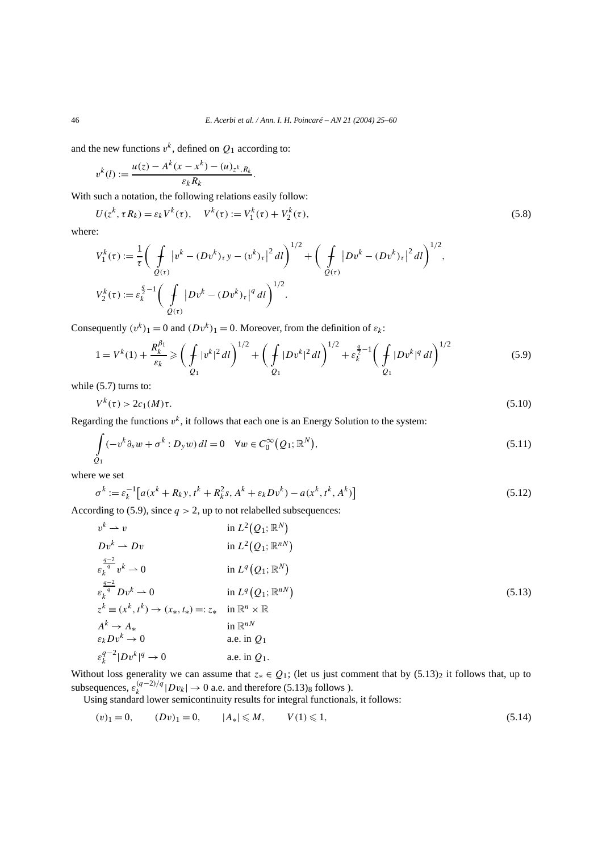and the new functions  $v^k$ , defined on  $Q_1$  according to:

$$
v^{k}(l) := \frac{u(z) - A^{k}(x - x^{k}) - (u)_{z^{k}, R_{k}}}{\varepsilon_{k} R_{k}}.
$$

With such a notation, the following relations easily follow:

$$
U(z^k, \tau R_k) = \varepsilon_k V^k(\tau), \quad V^k(\tau) := V_1^k(\tau) + V_2^k(\tau), \tag{5.8}
$$

where:

$$
V_1^k(\tau) := \frac{1}{\tau} \bigg( \int_{Q(\tau)} |v^k - (Dv^k)_\tau y - (v^k)_\tau|^2 dl \bigg)^{1/2} + \bigg( \int_{Q(\tau)} |Dv^k - (Dv^k)_\tau|^2 dl \bigg)^{1/2},
$$
  

$$
V_2^k(\tau) := \varepsilon_k^{\frac{q}{2}-1} \bigg( \int_{Q(\tau)} |Dv^k - (Dv^k)_\tau|^q dl \bigg)^{1/2}.
$$

Consequently  $(v^k)_1 = 0$  and  $(Dv^k)_1 = 0$ . Moreover, from the definition of  $\varepsilon_k$ :

$$
1 = V^{k}(1) + \frac{R_{k}^{\beta_{1}}}{\varepsilon_{k}} \ge \left(\frac{1}{\beta_{1}}|v^{k}|^{2}dl\right)^{1/2} + \left(\frac{1}{\beta_{1}}|Dv^{k}|^{2}dl\right)^{1/2} + \varepsilon_{k}^{\frac{q}{2}-1}\left(\frac{1}{\beta_{1}}|Dv^{k}|^{q}dl\right)^{1/2}
$$
(5.9)

while  $(5.7)$  turns to:

$$
V^k(\tau) > 2c_1(M)\tau. \tag{5.10}
$$

Regarding the functions  $v^k$ , it follows that each one is an Energy Solution to the system:

$$
\int_{Q_1} (-v^k \partial_s w + \sigma^k : D_y w) dl = 0 \quad \forall w \in C_0^{\infty}(Q_1; \mathbb{R}^N),
$$
\n(5.11)

where we set

$$
\sigma^{k} := \varepsilon_{k}^{-1} \left[ a(x^{k} + R_{k}y, t^{k} + R_{k}^{2}s, A^{k} + \varepsilon_{k}Dv^{k}) - a(x^{k}, t^{k}, A^{k}) \right]
$$
(5.12)

According to (5.9), since  $q > 2$ , up to not relabelled subsequences:

$$
v^{k} \rightarrow v \qquad \text{in } L^{2}(Q_{1}; \mathbb{R}^{N})
$$
\n
$$
Dv^{k} \rightarrow Dv \qquad \text{in } L^{2}(Q_{1}; \mathbb{R}^{n})
$$
\n
$$
\varepsilon_{k}^{\frac{q-2}{q}} v^{k} \rightarrow 0 \qquad \text{in } L^{q}(Q_{1}; \mathbb{R}^{N})
$$
\n
$$
\varepsilon_{k}^{\frac{q-2}{q}} Dv^{k} \rightarrow 0 \qquad \text{in } L^{q}(Q_{1}; \mathbb{R}^{N})
$$
\n
$$
z^{k} \equiv (x^{k}, t^{k}) \rightarrow (x_{*}, t_{*}) =: z_{*} \qquad \text{in } \mathbb{R}^{n} \times \mathbb{R}
$$
\n
$$
A^{k} \rightarrow A_{*} \qquad \text{in } \mathbb{R}^{n} \times \mathbb{R}
$$
\n
$$
\varepsilon_{k}^{k} Dv^{k} \rightarrow 0 \qquad \text{a.e. in } Q_{1}
$$
\n
$$
\varepsilon_{k}^{q-2} |Dv^{k}|^{q} \rightarrow 0 \qquad \text{a.e. in } Q_{1}.
$$
\n(5.13)

Without loss generality we can assume that  $z_* \in Q_1$ ; (let us just comment that by  $(5.13)_2$  it follows that, up to subsequences,  $\varepsilon_k^{(q-2)/q} |Dv_k| \to 0$  a.e. and therefore (5.13)<sub>8</sub> follows ).

Using standard lower semicontinuity results for integral functionals, it follows:

$$
(v)_1 = 0, \t(Dv)_1 = 0, \t|A_*| \le M, \tV(1) \le 1,
$$
\t(5.14)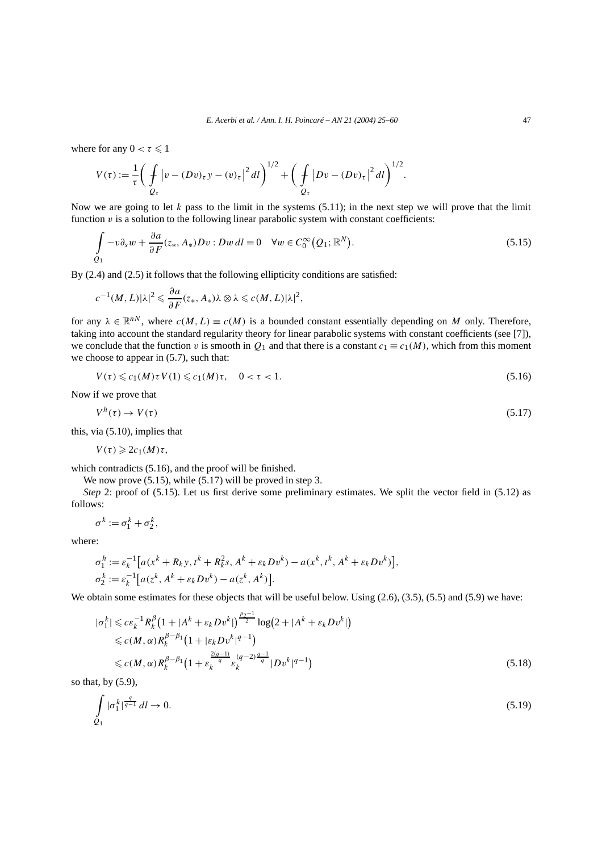where for any  $0 < \tau \leq 1$ 

$$
V(\tau) := \frac{1}{\tau} \bigg( \int\limits_{Q_{\tau}} |v - (Dv)_{\tau} y - (v)_{\tau}|^2 dl \bigg)^{1/2} + \bigg( \int\limits_{Q_{\tau}} |Dv - (Dv)_{\tau}|^2 dl \bigg)^{1/2}.
$$

Now we are going to let  $k$  pass to the limit in the systems  $(5.11)$ ; in the next step we will prove that the limit function  $\nu$  is a solution to the following linear parabolic system with constant coefficients:

$$
\int_{Q_1} -v \partial_s w + \frac{\partial a}{\partial F}(z_*, A_*) Dv : Dw dl = 0 \quad \forall w \in C_0^{\infty}(Q_1; \mathbb{R}^N).
$$
\n(5.15)

By (2.4) and (2.5) it follows that the following ellipticity conditions are satisfied:

$$
c^{-1}(M,L)|\lambda|^2 \leq \frac{\partial a}{\partial F}(z_*,A_*)\lambda \otimes \lambda \leqslant c(M,L)|\lambda|^2,
$$

for any  $\lambda \in \mathbb{R}^{n}$ , where  $c(M, L) \equiv c(M)$  is a bounded constant essentially depending on *M* only. Therefore, taking into account the standard regularity theory for linear parabolic systems with constant coefficients (see [7]), we conclude that the function *v* is smooth in  $Q_1$  and that there is a constant  $c_1 \equiv c_1(M)$ , which from this moment we choose to appear in (5.7), such that:

$$
V(\tau) \leqslant c_1(M)\tau V(1) \leqslant c_1(M)\tau, \quad 0 < \tau < 1. \tag{5.16}
$$

Now if we prove that

$$
V^h(\tau) \to V(\tau) \tag{5.17}
$$

this, via (5.10), implies that

$$
V(\tau)\geqslant 2c_1(M)\tau,
$$

which contradicts (5.16), and the proof will be finished.

We now prove  $(5.15)$ , while  $(5.17)$  will be proved in step 3.

*Step* 2: proof of (5.15). Let us first derive some preliminary estimates. We split the vector field in (5.12) as follows:

$$
\sigma^k := \sigma_1^k + \sigma_2^k,
$$

where:

$$
\sigma_1^h := \varepsilon_k^{-1} \big[ a(x^k + R_k y, t^k + R_k^2 s, A^k + \varepsilon_k D v^k) - a(x^k, t^k, A^k + \varepsilon_k D v^k) \big],
$$
  
\n
$$
\sigma_2^k := \varepsilon_k^{-1} \big[ a(z^k, A^k + \varepsilon_k D v^k) - a(z^k, A^k) \big].
$$

We obtain some estimates for these objects that will be useful below. Using  $(2.6)$ ,  $(3.5)$ ,  $(5.5)$  and  $(5.9)$  we have:

$$
|\sigma_1^k| \le c \varepsilon_k^{-1} R_k^{\beta} \left( 1 + |A^k + \varepsilon_k D v^k| \right)^{\frac{p_2 - 1}{2}} \log \left( 2 + |A^k + \varepsilon_k D v^k| \right)
$$
  
\n
$$
\le c(M, \alpha) R_k^{\beta - \beta_1} \left( 1 + |\varepsilon_k D v^k|^{q - 1} \right)
$$
  
\n
$$
\le c(M, \alpha) R_k^{\beta - \beta_1} \left( 1 + \varepsilon_k^{\frac{2(q - 1)}{q}} \varepsilon_k^{(q - 2)\frac{q - 1}{q}} |D v^k|^{q - 1} \right)
$$
\n(5.18)

so that, by (5.9),

$$
\int_{Q_1} |\sigma_1^k|^{\frac{q}{q-1}} dl \to 0. \tag{5.19}
$$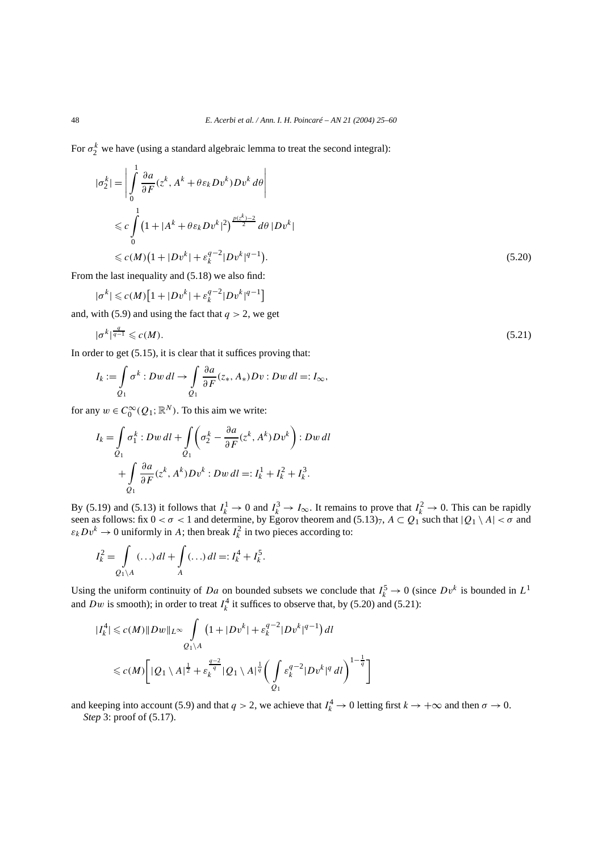For  $\sigma_2^k$  we have (using a standard algebraic lemma to treat the second integral):

$$
|\sigma_2^k| = \left| \int_0^1 \frac{\partial a}{\partial F} (z^k, A^k + \theta \varepsilon_k D v^k) D v^k d\theta \right|
$$
  
\n
$$
\leq c \int_0^1 (1 + |A^k + \theta \varepsilon_k D v^k|^2)^{\frac{p(z^k) - 2}{2}} d\theta |D v^k|
$$
  
\n
$$
\leq c(M) (1 + |D v^k| + \varepsilon_k^{q-2} |D v^k|^{q-1}).
$$
\n(5.20)

From the last inequality and (5.18) we also find:

$$
|\sigma^k| \leqslant c(M)\big[1+|Dv^k|+\varepsilon_k^{q-2}|Dv^k|^{q-1}\big]
$$

and, with (5.9) and using the fact that  $q > 2$ , we get

$$
|\sigma^k|^{\frac{q}{q-1}} \leqslant c(M). \tag{5.21}
$$

In order to get  $(5.15)$ , it is clear that it suffices proving that:

$$
I_k := \int_{Q_1} \sigma^k : Dw \, dl \to \int_{Q_1} \frac{\partial a}{\partial F}(z_*, A_*) Dv : Dw \, dl =: I_{\infty},
$$

for any  $w \in C_0^{\infty}(Q_1; \mathbb{R}^N)$ . To this aim we write:

$$
I_k = \int_{Q_1} \sigma_1^k : Dw \, dl + \int_{Q_1} \left( \sigma_2^k - \frac{\partial a}{\partial F} (z^k, A^k) D v^k \right) : Dw \, dl
$$
  
+ 
$$
\int_{Q_1} \frac{\partial a}{\partial F} (z^k, A^k) D v^k : Dw \, dl =: I_k^1 + I_k^2 + I_k^3.
$$

By (5.19) and (5.13) it follows that  $I_k^1 \to 0$  and  $I_k^3 \to I_\infty$ . It remains to prove that  $I_k^2 \to 0$ . This can be rapidly seen as follows: fix  $0 < \sigma < 1$  and determine, by Egorov theorem and  $(5.13)$ ,  $A \subset Q_1$  such that  $|Q_1 \setminus A| < \sigma$  and  $\varepsilon_k Dv^k \to 0$  uniformly in *A*; then break  $I_k^2$  in two pieces according to:

$$
I_k^2 = \int\limits_{Q_1 \backslash A} (\ldots) dl + \int\limits_A (\ldots) dl =: I_k^4 + I_k^5.
$$

Using the uniform continuity of *Da* on bounded subsets we conclude that  $I_k^5 \to 0$  (since  $Dv^k$  is bounded in  $L^1$ and *Dw* is smooth); in order to treat  $I_k^4$  it suffices to observe that, by (5.20) and (5.21):

$$
|I_{k}^{4}| \le c(M) \|Dw\|_{L^{\infty}} \int_{Q_{1} \backslash A} \left(1 + |Dv^{k}| + \varepsilon_{k}^{q-2} |Dv^{k}|^{q-1}\right) dl
$$
  

$$
\le c(M) \left[ |Q_{1} \backslash A|^{1/2} + \varepsilon_{k}^{\frac{q-2}{q}} |Q_{1} \backslash A|^{1/2} \left( \int_{Q_{1}} \varepsilon_{k}^{q-2} |Dv^{k}|^{q} dl \right)^{1-\frac{1}{q}} \right]
$$

and keeping into account (5.9) and that  $q > 2$ , we achieve that  $I_k^4 \to 0$  letting first  $k \to +\infty$  and then  $\sigma \to 0$ . *Step* 3: proof of (5.17).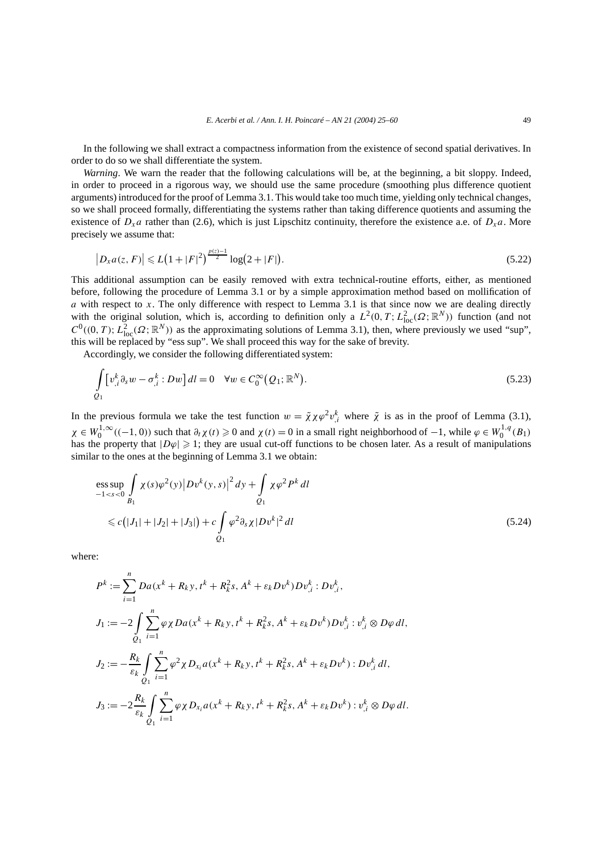In the following we shall extract a compactness information from the existence of second spatial derivatives. In order to do so we shall differentiate the system.

*Warning*. We warn the reader that the following calculations will be, at the beginning, a bit sloppy. Indeed, in order to proceed in a rigorous way, we should use the same procedure (smoothing plus difference quotient arguments) introduced for the proof of Lemma 3.1. This would take too much time, yielding only technical changes, so we shall proceed formally, differentiating the systems rather than taking difference quotients and assuming the existence of  $D_x a$  rather than (2.6), which is just Lipschitz continuity, therefore the existence a.e. of  $D_x a$ . More precisely we assume that:

$$
\left|D_{x}a(z,F)\right| \leqslant L\left(1+|F|^{2}\right)^{\frac{p(z)-1}{2}}\log(2+|F|). \tag{5.22}
$$

This additional assumption can be easily removed with extra technical-routine efforts, either, as mentioned before, following the procedure of Lemma 3.1 or by a simple approximation method based on mollification of *a* with respect to *x*. The only difference with respect to Lemma 3.1 is that since now we are dealing directly with the original solution, which is, according to definition only a  $L^2(0,T; L^2_{loc}(\Omega;\mathbb{R}^N))$  function (and not  $C^0((0, T); L^2_{loc}(\Omega; \mathbb{R}^N))$  as the approximating solutions of Lemma 3.1), then, where previously we used "sup", this will be replaced by "ess sup". We shall proceed this way for the sake of brevity.

Accordingly, we consider the following differentiated system:

$$
\int_{Q_1} \left[ v_{,i}^k \partial_s w - \sigma_{,i}^k : Dw \right] dl = 0 \quad \forall w \in C_0^{\infty}(Q_1; \mathbb{R}^N).
$$
\n(5.23)

In the previous formula we take the test function  $w = \tilde{\chi} \chi \varphi^2 v_{i,j}^k$  where  $\tilde{\chi}$  is as in the proof of Lemma (3.1),  $\chi \in W_0^{1,\infty}((-1,0))$  such that  $\partial_t \chi(t) \geq 0$  and  $\chi(t) = 0$  in a small right neighborhood of  $-1$ , while  $\varphi \in W_0^{1,q}(B_1)$ has the property that  $|D\varphi| \geq 1$ ; they are usual cut-off functions to be chosen later. As a result of manipulations similar to the ones at the beginning of Lemma 3.1 we obtain:

$$
\begin{aligned}\n&\text{ess}\sup_{-1 < s < 0} \int_{B_1} \chi(s)\varphi^2(y) \left| Dv^k(y,s) \right|^2 dy + \int_{Q_1} \chi \varphi^2 P^k \, dl \\
&\leq c\big(|J_1| + |J_2| + |J_3|\big) + c \int_{Q_1} \varphi^2 \partial_s \chi |Dv^k|^2 \, dl\n\end{aligned} \tag{5.24}
$$

where:

$$
P^{k} := \sum_{i=1}^{n} Da(x^{k} + R_{k}y, t^{k} + R_{k}^{2}s, A^{k} + \varepsilon_{k}Dv^{k})Dv_{,i}^{k} : Dv_{,i}^{k},
$$
  
\n
$$
J_{1} := -2 \int_{Q_{1}} \sum_{i=1}^{n} \varphi \chi Da(x^{k} + R_{k}y, t^{k} + R_{k}^{2}s, A^{k} + \varepsilon_{k}Dv^{k})Dv_{,i}^{k} : v_{,i}^{k} \otimes D\varphi dl,
$$
  
\n
$$
J_{2} := -\frac{R_{k}}{\varepsilon_{k}} \int_{Q_{1}} \sum_{i=1}^{n} \varphi^{2} \chi D_{x_{i}} a(x^{k} + R_{k}y, t^{k} + R_{k}^{2}s, A^{k} + \varepsilon_{k}Dv^{k}) : Dv_{,i}^{k} dl,
$$
  
\n
$$
J_{3} := -2\frac{R_{k}}{\varepsilon_{k}} \int_{Q_{1}} \sum_{i=1}^{n} \varphi \chi D_{x_{i}} a(x^{k} + R_{k}y, t^{k} + R_{k}^{2}s, A^{k} + \varepsilon_{k}Dv^{k}) : v_{,i}^{k} \otimes D\varphi dl.
$$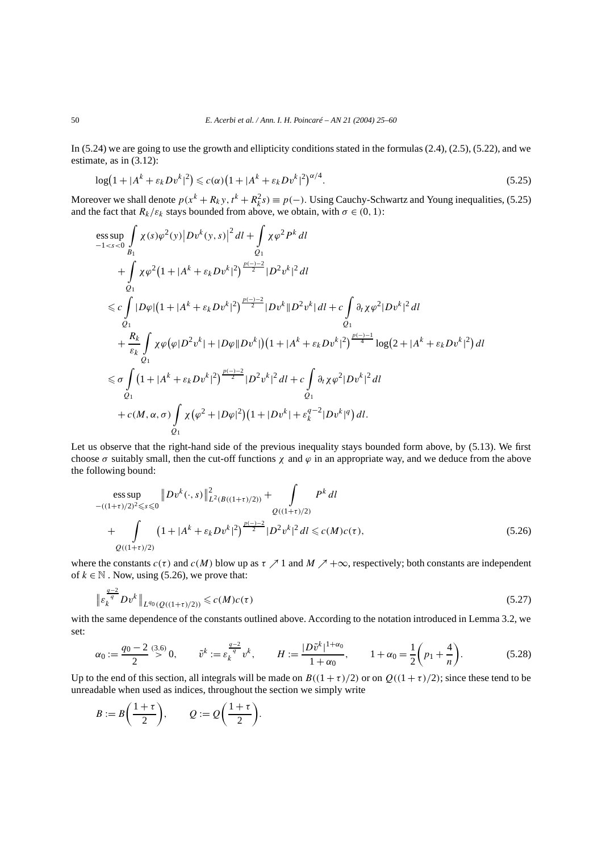In (5.24) we are going to use the growth and ellipticity conditions stated in the formulas (2.4), (2.5), (5.22), and we estimate, as in (3.12):

$$
\log(1+|A^{k}+\varepsilon_{k}Dv^{k}|^{2}) \leqslant c(\alpha)\left(1+|A^{k}+\varepsilon_{k}Dv^{k}|^{2}\right)^{\alpha/4}.
$$
\n(5.25)

Moreover we shall denote  $p(x^k + R_k y, t^k + R_k^2 s) \equiv p(-)$ . Using Cauchy-Schwartz and Young inequalities, (5.25) and the fact that  $R_k/\varepsilon_k$  stays bounded from above, we obtain, with  $\sigma \in (0, 1)$ :

$$
\begin{split}\n&\underset{-1 < s < 0}{\text{ess sup}} \int_{B_1} \chi(s)\varphi^2(y) |Dv^k(y, s)|^2 dl + \int_{Q_1} \chi \varphi^2 P^k dl \\
&+ \int_{Q_1} \chi \varphi^2 (1 + |A^k + \varepsilon_k Dv^k|^2)^{\frac{p(-)-2}{2}} |D^2 v^k|^2 dl \\
&\leq c \int_{Q_1} |D\varphi| (1 + |A^k + \varepsilon_k Dv^k|^2)^{\frac{p(-)-2}{2}} |Dv^k||D^2 v^k| dl + c \int_{Q_1} \partial_t \chi \varphi^2 |Dv^k|^2 dl \\
&+ \frac{R_k}{\varepsilon_k} \int_{Q_1} \chi \varphi(\varphi |D^2 v^k| + |D\varphi| |Dv^k|) (1 + |A^k + \varepsilon_k Dv^k|^2)^{\frac{p(-)-1}{4}} \log(2 + |A^k + \varepsilon_k Dv^k|^2) dl \\
&\leq \sigma \int_{Q_1} (1 + |A^k + \varepsilon_k Dv^k|^2)^{\frac{p(-)-2}{2}} |D^2 v^k|^2 dl + c \int_{Q_1} \partial_t \chi \varphi^2 |Dv^k|^2 dl \\
&+ c(M, \alpha, \sigma) \int_{Q_1} \chi (\varphi^2 + |D\varphi|^2) (1 + |Dv^k| + \varepsilon_k^{q-2} |Dv^k|^q) dl.\n\end{split}
$$

Let us observe that the right-hand side of the previous inequality stays bounded form above, by (5.13). We first choose  $\sigma$  suitably small, then the cut-off functions  $\chi$  and  $\varphi$  in an appropriate way, and we deduce from the above the following bound:

$$
\begin{split} &\underset{-(1+\tau)/2)^2 \leq s \leq 0}{\text{ess sup}} \|Dv^k(\cdot, s)\|_{L^2(B((1+\tau)/2))}^2 + \int_{Q((1+\tau)/2)} P^k dl \\ &+ \int_{Q((1+\tau)/2)} (1 + |A^k + \varepsilon_k Dv^k|^2)^{\frac{p(-)-2}{2}} |D^2v^k|^2 dl \leq c(M)c(\tau), \end{split} \tag{5.26}
$$

where the constants  $c(\tau)$  and  $c(M)$  blow up as  $\tau \nearrow 1$  and  $M \nearrow +\infty$ , respectively; both constants are independent of  $k \in \mathbb{N}$ . Now, using (5.26), we prove that:

$$
\|\varepsilon_k^{\frac{q-2}{q}} D v^k\|_{L^{q_0}(Q((1+\tau)/2))} \leq c(M)c(\tau)
$$
\n(5.27)

with the same dependence of the constants outlined above. According to the notation introduced in Lemma 3.2, we set:

$$
\alpha_0 := \frac{q_0 - 2}{2} \stackrel{(3.6)}{>} 0, \qquad \tilde{v}^k := \varepsilon_k^{\frac{q-2}{q}} v^k, \qquad H := \frac{|D\tilde{v}^k|^{1+\alpha_0}}{1+\alpha_0}, \qquad 1 + \alpha_0 = \frac{1}{2} \left( p_1 + \frac{4}{n} \right). \tag{5.28}
$$

Up to the end of this section, all integrals will be made on  $B((1 + \tau)/2)$  or on  $Q((1 + \tau)/2)$ ; since these tend to be unreadable when used as indices, throughout the section we simply write

$$
B := B\left(\frac{1+\tau}{2}\right), \qquad Q := Q\left(\frac{1+\tau}{2}\right).
$$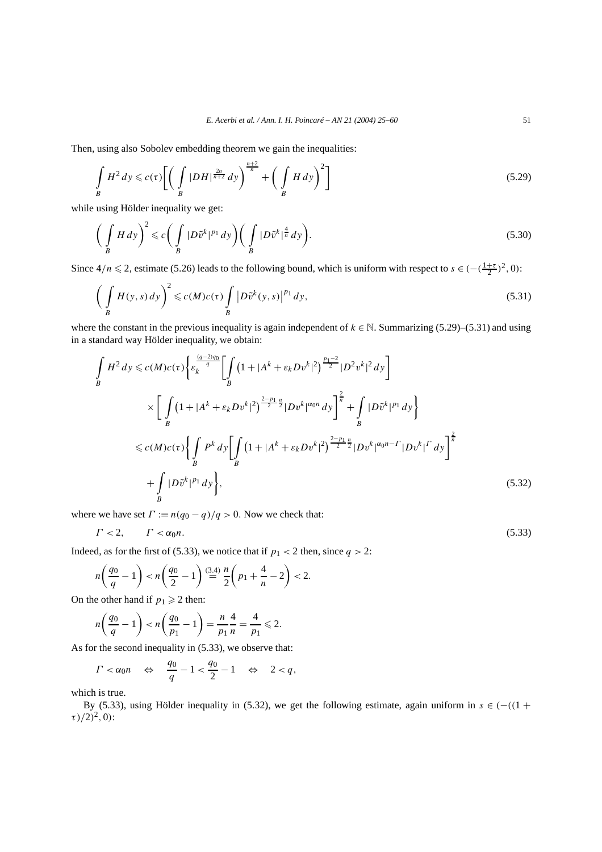Then, using also Sobolev embedding theorem we gain the inequalities:

$$
\int\limits_B H^2 dy \leqslant c(\tau) \left[ \left( \int\limits_B |DH|^{\frac{2n}{n+2}} dy \right)^{\frac{n+2}{n}} + \left( \int\limits_B H dy \right)^2 \right] \tag{5.29}
$$

while using Hölder inequality we get:

$$
\left(\int\limits_B H\,dy\right)^2 \leqslant c\bigg(\int\limits_B |D\tilde{v}^k|^{p_1}\,dy\bigg)\bigg(\int\limits_B |D\tilde{v}^k|^{\frac{4}{n}}\,dy\bigg).
$$
\n(5.30)

Since  $4/n \le 2$ , estimate (5.26) leads to the following bound, which is uniform with respect to  $s \in (-\frac{1+\tau}{2})^2, 0$ :

$$
\left(\int\limits_B H(y,s) \, dy\right)^2 \leqslant c(M)c(\tau) \int\limits_B \left|D\tilde{v}^k(y,s)\right|^{p_1} dy,\tag{5.31}
$$

where the constant in the previous inequality is again independent of  $k \in \mathbb{N}$ . Summarizing (5.29)–(5.31) and using in a standard way Hölder inequality, we obtain:

$$
\int_{B} H^{2} dy \le c(M)c(\tau) \left\{ \varepsilon_{k}^{\frac{(q-2)q_{0}}{q}} \left[ \int_{B} \left( 1 + |A^{k} + \varepsilon_{k}Dv^{k}|^{2} \right)^{\frac{p_{1}-2}{2}} |D^{2}v^{k}|^{2} dy \right) \right\}
$$
\n
$$
\times \left[ \int_{B} \left( 1 + |A^{k} + \varepsilon_{k}Dv^{k}|^{2} \right)^{\frac{2-p_{1}}{2} \frac{n}{2}} |Dv^{k}|^{\alpha_{0}n} dy \right]^{\frac{2}{n}} + \int_{B} |D\tilde{v}^{k}|^{p_{1}} dy \right\}
$$
\n
$$
\le c(M)c(\tau) \left\{ \int_{B} P^{k} dy \left[ \int_{B} \left( 1 + |A^{k} + \varepsilon_{k}Dv^{k}|^{2} \right)^{\frac{2-p_{1}}{2} \frac{n}{2}} |Dv^{k}|^{\alpha_{0}n - \Gamma} |Dv^{k}|^{\Gamma} dy \right]^{\frac{2}{n}} + \int_{B} |D\tilde{v}^{k}|^{p_{1}} dy \right\}, \tag{5.32}
$$

where we have set  $\Gamma := n(q_0 - q)/q > 0$ . Now we check that:

$$
\Gamma < 2, \qquad \Gamma < \alpha_0 n. \tag{5.33}
$$

Indeed, as for the first of (5.33), we notice that if  $p_1 < 2$  then, since  $q > 2$ :

$$
n\left(\frac{q_0}{q} - 1\right) < n\left(\frac{q_0}{2} - 1\right) \stackrel{(3.4)}{=} \frac{n}{2}\left(p_1 + \frac{4}{n} - 2\right) < 2.
$$

On the other hand if  $p_1 \ge 2$  then:

$$
n\left(\frac{q_0}{q} - 1\right) < n\left(\frac{q_0}{p_1} - 1\right) = \frac{n}{p_1} \frac{4}{n} = \frac{4}{p_1} \leq 2.
$$

As for the second inequality in (5.33), we observe that:

$$
\Gamma < \alpha_0 n \quad \Leftrightarrow \quad \frac{q_0}{q} - 1 < \frac{q_0}{2} - 1 \quad \Leftrightarrow \quad 2 < q,
$$

which is true.

By (5.33), using Hölder inequality in (5.32), we get the following estimate, again uniform in  $s \in (-(1 +$  $(\tau)/2)^2$ , 0):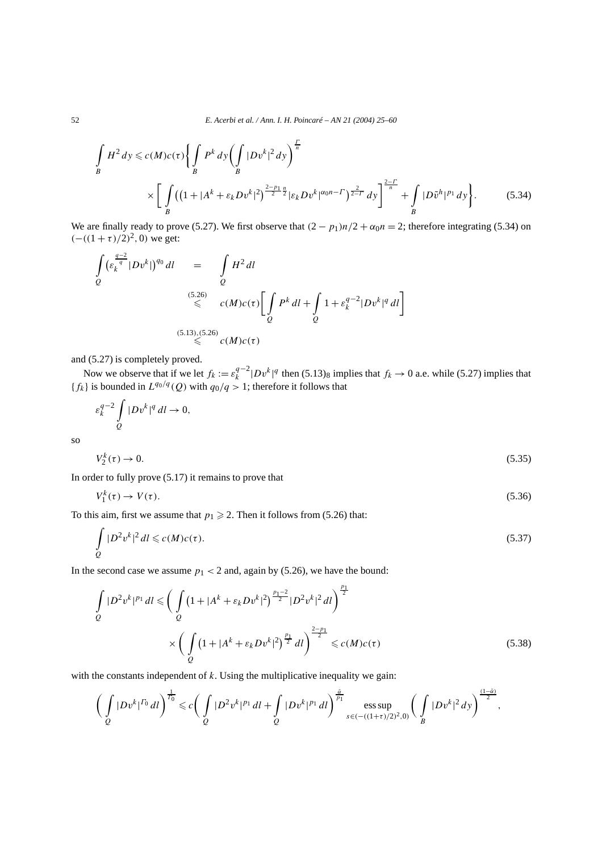$$
\int_{B} H^{2} dy \le c(M)c(\tau) \left\{ \int_{B} P^{k} dy \left( \int_{B} |Dv^{k}|^{2} dy \right)^{\frac{\Gamma}{n}} \right\} \times \left[ \int_{B} \left( (1 + |A^{k} + \varepsilon_{k} D v^{k}|^{2})^{\frac{2-p_{1}}{2}} \right] \varepsilon_{k} D v^{k} |^{\alpha_{0}n-\Gamma} \right)^{\frac{2}{2-\Gamma}} dy \right]^{\frac{2-\Gamma}{n}} + \int_{B} |D\tilde{v}^{h}|^{p_{1}} dy \right\}.
$$
 (5.34)

We are finally ready to prove (5.27). We first observe that  $(2 - p_1)n/2 + \alpha_0 n = 2$ ; therefore integrating (5.34) on  $(-((1 + \tau)/2)^2, 0)$  we get:

$$
\int_{Q} \left( \varepsilon_k^{\frac{q-2}{q}} |Dv^k| \right)^{q_0} dl = \int_{Q} H^2 dl
$$
\n
$$
\leq C(M)c(\tau) \left[ \int_{Q} P^k dl + \int_{Q} 1 + \varepsilon_k^{q-2} |Dv^k|^q dl \right]
$$
\n
$$
\leq C(M)c(\tau) \leq C(M)c(\tau)
$$
\n
$$
\leq C(M)c(\tau)
$$

and (5.27) is completely proved.

Now we observe that if we let  $f_k := \varepsilon_k^{q-2} |Dv^k|^q$  then (5.13)<sub>8</sub> implies that  $f_k \to 0$  a.e. while (5.27) implies that  ${f_k}$  is bounded in  $L^{q_0/q}(Q)$  with  $q_0/q > 1$ ; therefore it follows that

$$
\varepsilon_k^{q-2} \int\limits_Q |Dv^k|^q dl \to 0,
$$
  

$$
V_2^k(\tau) \to 0.
$$
 (5.35)

so

$$
t_2^k(\tau) \to 0. \tag{5.35}
$$

In order to fully prove (5.17) it remains to prove that

$$
V_1^k(\tau) \to V(\tau). \tag{5.36}
$$

To this aim, first we assume that  $p_1 \geq 2$ . Then it follows from (5.26) that:

$$
\int_{Q} |D^2 v^k|^2 dl \leqslant c(M)c(\tau). \tag{5.37}
$$

In the second case we assume  $p_1 < 2$  and, again by (5.26), we have the bound:

$$
\int_{Q} |D^2 v^k|^{p_1} dl \leqslant \left( \int_{Q} \left( 1 + |A^k + \varepsilon_k D v^k|^2 \right)^{\frac{p_1 - 2}{2}} |D^2 v^k|^2 dl \right)^{\frac{p_1}{2}} \times \left( \int_{Q} \left( 1 + |A^k + \varepsilon_k D v^k|^2 \right)^{\frac{p_1}{2}} dl \right)^{\frac{2 - p_1}{2}} \leqslant c(M)c(\tau)
$$
\n(5.38)

with the constants independent of *k*. Using the multiplicative inequality we gain:

$$
\left(\int\limits_{Q} |Dv^k|^{T_0} \, dl\right)^{\frac{1}{T_0}} \leqslant c \left(\int\limits_{Q} |D^2v^k|^{p_1} \, dl + \int\limits_{Q} |Dv^k|^{p_1} \, dl\right)^{\frac{\tilde{\alpha}}{p_1}} \operatorname{ess} \sup_{s \in ( -((1+\tau)/2)^2, 0)} \left(\int\limits_{B} |Dv^k|^{2} \, dy\right)^{\frac{(1-\tilde{\alpha})}{2}},
$$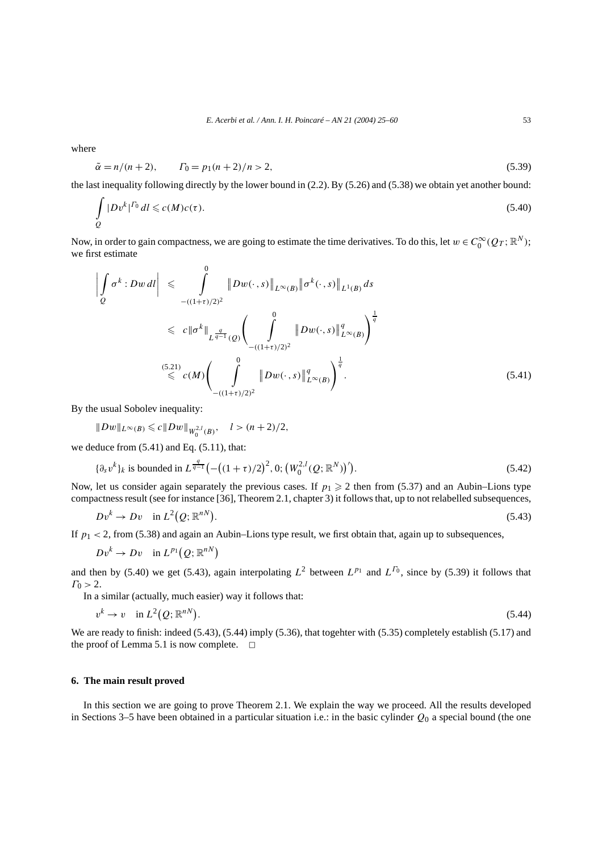where

$$
\tilde{\alpha} = n/(n+2), \qquad \Gamma_0 = p_1(n+2)/n > 2,
$$
\n(5.39)

the last inequality following directly by the lower bound in (2.2). By (5.26) and (5.38) we obtain yet another bound:

$$
\int_{Q} |Dv^k|^{T_0} dl \leqslant c(M)c(\tau). \tag{5.40}
$$

Now, in order to gain compactness, we are going to estimate the time derivatives. To do this, let  $w \in C_0^{\infty}(Q_T; \mathbb{R}^N)$ ; we first estimate

$$
\left| \int_{Q} \sigma^{k} : Dw \, dl \right| \leq \int_{-(\frac{1+\tau}{2})/2}^0 \|Dw(\cdot,s)\|_{L^{\infty}(B)} \|\sigma^{k}(\cdot,s)\|_{L^1(B)} ds
$$
\n
$$
\leq c \|\sigma^{k}\|_{L^{\frac{q}{q-1}}(Q)} \Bigg( \int_{-(\frac{1+\tau}{2})/2)^2}^0 \|Dw(\cdot,s)\|_{L^{\infty}(B)}^q \Bigg)^{\frac{1}{q}}
$$
\n
$$
\leq c(M) \Bigg( \int_{-(\frac{1+\tau}{2})/2)^2}^0 \|Dw(\cdot,s)\|_{L^{\infty}(B)}^q \Bigg)^{\frac{1}{q}}.
$$
\n(5.41)

By the usual Sobolev inequality:

$$
||Dw||_{L^{\infty}(B)} \leq c||Dw||_{W_0^{2,l}(B)}, \quad l > (n+2)/2,
$$

we deduce from (5.41) and Eq. (5.11), that:

$$
\{\partial_s v^k\}_k \text{ is bounded in } L^{\frac{q}{q-1}}\left(-\left((1+\tau)/2\right)^2, 0; \left(W_0^{2,l}(Q; \mathbb{R}^N)\right)'\right).
$$
\n(5.42)

Now, let us consider again separately the previous cases. If  $p_1 \geq 2$  then from (5.37) and an Aubin–Lions type compactness result (see for instance [36], Theorem 2.1, chapter 3) it follows that, up to not relabelled subsequences,

$$
Dv^k \to Dv \quad \text{in } L^2(Q; \mathbb{R}^{nN}). \tag{5.43}
$$

If  $p_1$  < 2, from (5.38) and again an Aubin–Lions type result, we first obtain that, again up to subsequences,

$$
Dv^k \to Dv \quad \text{in } L^{p_1}(Q;\mathbb{R}^{nN})
$$

and then by (5.40) we get (5.43), again interpolating  $L^2$  between  $L^{p_1}$  and  $L^{r_0}$ , since by (5.39) it follows that  $\Gamma_0 > 2$ .

In a similar (actually, much easier) way it follows that:

$$
v^k \to v \quad \text{in } L^2(Q; \mathbb{R}^{nN}). \tag{5.44}
$$

We are ready to finish: indeed (5.43), (5.44) imply (5.36), that togehter with (5.35) completely establish (5.17) and the proof of Lemma 5.1 is now complete.  $\Box$ 

# **6. The main result proved**

In this section we are going to prove Theorem 2.1. We explain the way we proceed. All the results developed in Sections 3–5 have been obtained in a particular situation i.e.: in the basic cylinder  $Q_0$  a special bound (the one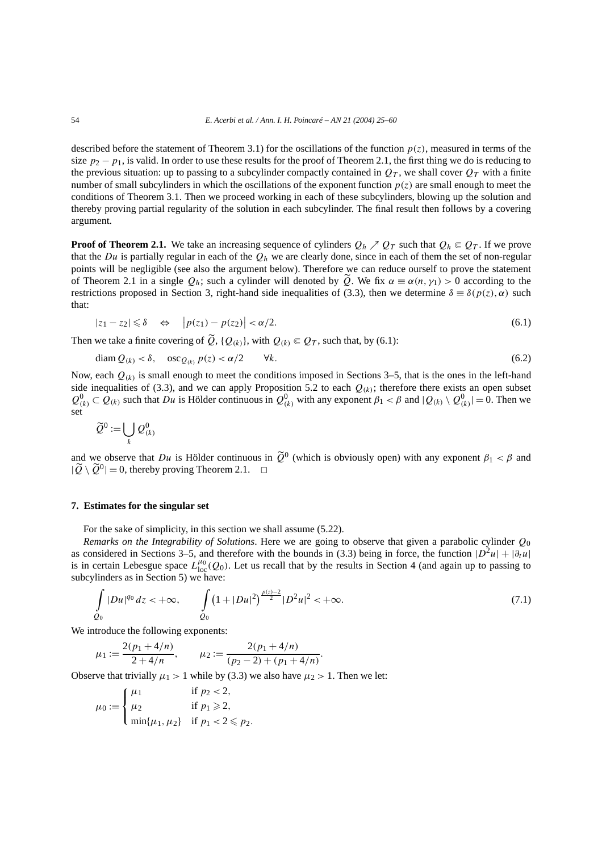described before the statement of Theorem 3.1) for the oscillations of the function  $p(z)$ , measured in terms of the size  $p_2 - p_1$ , is valid. In order to use these results for the proof of Theorem 2.1, the first thing we do is reducing to the previous situation: up to passing to a subcylinder compactly contained in  $Q_T$ , we shall cover  $Q_T$  with a finite number of small subcylinders in which the oscillations of the exponent function  $p(z)$  are small enough to meet the conditions of Theorem 3.1. Then we proceed working in each of these subcylinders, blowing up the solution and thereby proving partial regularity of the solution in each subcylinder. The final result then follows by a covering argument.

**Proof of Theorem 2.1.** We take an increasing sequence of cylinders  $Q_h \nearrow Q_T$  such that  $Q_h \\\in Q_T$ . If we prove that the *Du* is partially regular in each of the *Qh* we are clearly done, since in each of them the set of non-regular points will be negligible (see also the argument below). Therefore we can reduce ourself to prove the statement of Theorem 2.1 in a single  $Q_h$ ; such a cylinder will denoted by  $\tilde{Q}$ . We fix  $\alpha \equiv \alpha(n, \gamma_1) > 0$  according to the restrictions proposed in Section 3, right-hand side inequalities of (3.3), then we determine  $\delta = \delta(p(z), \alpha)$  such that:

$$
|z_1 - z_2| \leq \delta \quad \Leftrightarrow \quad \left| p(z_1) - p(z_2) \right| < \alpha/2. \tag{6.1}
$$

Then we take a finite covering of  $\widetilde{Q}$ ,  $\{Q_{(k)}\}$ , with  $Q_{(k)} \in Q_T$ , such that, by (6.1):

$$
\text{diam } Q_{(k)} < \delta, \quad \text{osc}_{Q_{(k)}} p(z) < \alpha/2 \qquad \forall k. \tag{6.2}
$$

Now, each  $Q_{(k)}$  is small enough to meet the conditions imposed in Sections 3–5, that is the ones in the left-hand side inequalities of (3.3), and we can apply Proposition 5.2 to each  $Q_{(k)}$ ; therefore there exists an open subset  $Q_{(k)}^0 \subset Q_{(k)}$  such that *Du* is Hölder continuous in  $Q_{(k)}^0$  with any exponent  $\beta_1 < \beta$  and  $|Q_{(k)} \setminus Q_{(k)}^0| = 0$ . Then we set

$$
\widetilde{Q}^0:=\bigcup_k {\mathcal Q}^0_{(k)}
$$

and we observe that *Du* is Hölder continuous in  $\tilde{Q}^0$  (which is obviously open) with any exponent  $\beta_1 < \beta$  and  $|\widetilde{Q} \setminus \widetilde{Q}^0| = 0$ , thereby proving Theorem 2.1.  $\Box$ 

#### **7. Estimates for the singular set**

For the sake of simplicity, in this section we shall assume (5.22).

*Remarks on the Integrability of Solutions*. Here we are going to observe that given a parabolic cylinder *Q*<sup>0</sup> as considered in Sections 3–5, and therefore with the bounds in (3.3) being in force, the function  $|D^2u| + |\partial_t u|$ is in certain Lebesgue space  $L_{loc}^{\mu_0}(Q_0)$ . Let us recall that by the results in Section 4 (and again up to passing to subcylinders as in Section 5) we have:

$$
\int_{Q_0} |Du|^{q_0} dz < +\infty, \qquad \int_{Q_0} \left(1 + |Du|^2\right)^{\frac{p(z)-2}{2}} |D^2u|^2 < +\infty.
$$
\n(7.1)

We introduce the following exponents:

$$
\mu_1 := \frac{2(p_1 + 4/n)}{2 + 4/n}, \qquad \mu_2 := \frac{2(p_1 + 4/n)}{(p_2 - 2) + (p_1 + 4/n)}.
$$

Observe that trivially  $\mu_1 > 1$  while by (3.3) we also have  $\mu_2 > 1$ . Then we let:

$$
\mu_0 := \begin{cases} \mu_1 & \text{if } p_2 < 2, \\ \mu_2 & \text{if } p_1 \ge 2, \\ \min\{\mu_1, \mu_2\} & \text{if } p_1 < 2 \le p_2. \end{cases}
$$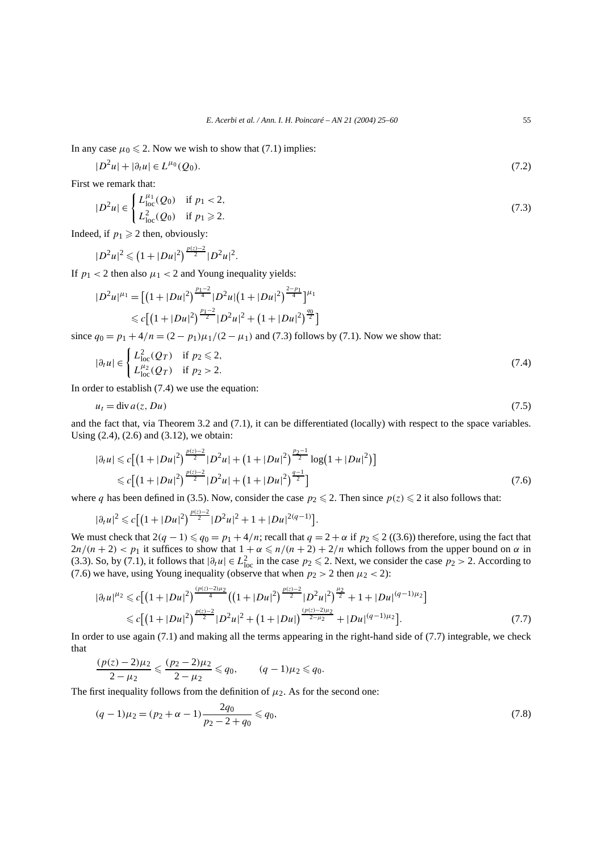In any case  $\mu_0 \leq 2$ . Now we wish to show that (7.1) implies:

$$
|D^2u| + |\partial_t u| \in L^{\mu_0}(Q_0). \tag{7.2}
$$

First we remark that:

$$
|D^2u| \in \begin{cases} L_{\text{loc}}^{\mu_1}(Q_0) & \text{if } p_1 < 2, \\ L_{\text{loc}}^2(Q_0) & \text{if } p_1 \ge 2. \end{cases}
$$
 (7.3)

Indeed, if  $p_1 \geq 2$  then, obviously:

$$
|D^2u|^2\leqslant (1+|Du|^2)^{\frac{p(z)-2}{2}}|D^2u|^2.
$$

If  $p_1 < 2$  then also  $\mu_1 < 2$  and Young inequality yields:

$$
|D^2u|^{\mu_1} = \left[\left(1+|Du|^2\right)^{\frac{p_1-2}{4}}|D^2u|\left(1+|Du|^2\right)^{\frac{2-p_1}{4}}\right]^{\mu_1}
$$
  
\n
$$
\leq c\left[\left(1+|Du|^2\right)^{\frac{p_1-2}{2}}|D^2u|^2+\left(1+|Du|^2\right)^{\frac{q_0}{2}}\right]
$$
  
\nsince  $q_0 = p_1 + 4/n = (2-p_1)\mu_1/(2-\mu_1)$  and (7.3) follows by (7.1). Now we show that:

$$
|\partial_t u| \in \begin{cases} L^2_{\text{loc}}(Q_T) & \text{if } p_2 \le 2, \\ L^{\mu_2}_{\text{loc}}(Q_T) & \text{if } p_2 > 2. \end{cases}
$$
 (7.4)

In order to establish (7.4) we use the equation:

$$
u_t = \text{div}\,a(z, Du) \tag{7.5}
$$

and the fact that, via Theorem 3.2 and (7.1), it can be differentiated (locally) with respect to the space variables. Using (2.4), (2.6) and (3.12), we obtain:

$$
|\partial_t u| \leq c \Big[ \big( 1 + |Du|^2 \big)^{\frac{p(z)-2}{2}} |D^2 u| + \big( 1 + |Du|^2 \big)^{\frac{p_2-1}{2}} \log \big( 1 + |Du|^2 \big) \Big] \leq c \Big[ \big( 1 + |Du|^2 \big)^{\frac{p(z)-2}{2}} |D^2 u| + \big( 1 + |Du|^2 \big)^{\frac{q-1}{2}} \Big] \tag{7.6}
$$

*.*

where *q* has been defined in (3.5). Now, consider the case  $p_2 \le 2$ . Then since  $p(z) \le 2$  it also follows that:

$$
|\partial_t u|^2 \leq c \big[ \big( 1 + |Du|^2 \big)^{\frac{p(z)-2}{2}} |D^2 u|^2 + 1 + |Du|^{2(q-1)} \big]
$$

We must check that  $2(q - 1) \leq q_0 = p_1 + 4/n$ ; recall that  $q = 2 + \alpha$  if  $p_2 \leq 2$  ((3.6)) therefore, using the fact that  $2n/(n+2) < p_1$  it suffices to show that  $1 + \alpha \leq n/(n+2) + 2/n$  which follows from the upper bound on  $\alpha$  in (3.3). So, by (7.1), it follows that  $|\partial_t u| \in L^2_{loc}$  in the case  $p_2 \le 2$ . Next, we consider the case  $p_2 > 2$ . According to (7.6) we have, using Young inequality (observe that when  $p_2 > 2$  then  $\mu_2 < 2$ ):

$$
|\partial_t u|^{u_2} \leq c \Big[ \big( 1 + |Du|^2 \big)^{\frac{(p(z)-2)u_2}{4}} \big( \big( 1 + |Du|^2 \big)^{\frac{p(z)-2}{2}} |D^2 u|^2 \big)^{\frac{\mu_2}{2}} + 1 + |Du|^{(q-1)\mu_2} \Big] \leq c \Big[ \big( 1 + |Du|^2 \big)^{\frac{p(z)-2)}{2}} |D^2 u|^2 + \big( 1 + |Du| \big)^{\frac{(p(z)-2)\mu_2}{2-\mu_2}} + |Du|^{(q-1)\mu_2} \Big]. \tag{7.7}
$$

In order to use again (7.1) and making all the terms appearing in the right-hand side of (7.7) integrable, we check that

$$
\frac{(p(z)-2)\mu_2}{2-\mu_2} \leqslant \frac{(p_2-2)\mu_2}{2-\mu_2} \leqslant q_0, \qquad (q-1)\mu_2 \leqslant q_0.
$$

The first inequality follows from the definition of  $\mu_2$ . As for the second one:

$$
(q-1)\mu_2 = (p_2 + \alpha - 1)\frac{2q_0}{p_2 - 2 + q_0} \leqslant q_0,\tag{7.8}
$$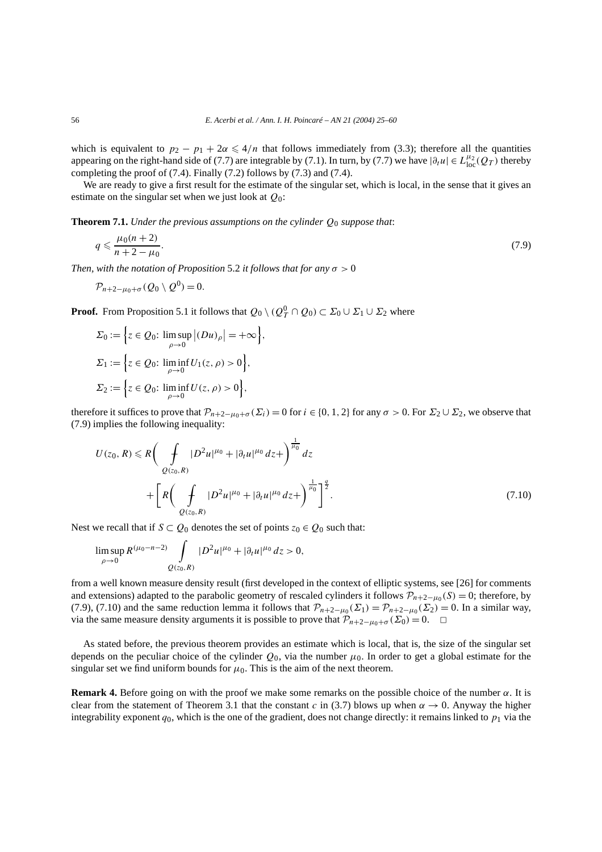which is equivalent to  $p_2 - p_1 + 2\alpha \leq 4/n$  that follows immediately from (3.3); therefore all the quantities appearing on the right-hand side of (7.7) are integrable by (7.1). In turn, by (7.7) we have  $|\partial_t u| \in L_{loc}^{\mu_2}(Q_T)$  thereby completing the proof of (7.4). Finally (7.2) follows by (7.3) and (7.4).

We are ready to give a first result for the estimate of the singular set, which is local, in the sense that it gives an estimate on the singular set when we just look at *Q*0:

**Theorem 7.1.** *Under the previous assumptions on the cylinder Q*<sup>0</sup> *suppose that*:

$$
q \leq \frac{\mu_0(n+2)}{n+2-\mu_0}.\tag{7.9}
$$

*Then, with the notation of Proposition* 5.2 *it follows that for any*  $\sigma > 0$ 

$$
\mathcal{P}_{n+2-\mu_0+\sigma}(Q_0\setminus Q^0)=0.
$$

**Proof.** From Proposition 5.1 it follows that  $Q_0 \setminus (Q_T^0 \cap Q_0) \subset \Sigma_0 \cup \Sigma_1 \cup \Sigma_2$  where

$$
\Sigma_0 := \left\{ z \in Q_0: \limsup_{\rho \to 0} |(Du)_\rho| = +\infty \right\},\
$$
  

$$
\Sigma_1 := \left\{ z \in Q_0: \liminf_{\rho \to 0} U_1(z, \rho) > 0 \right\},\
$$
  

$$
\Sigma_2 := \left\{ z \in Q_0: \liminf_{\rho \to 0} U(z, \rho) > 0 \right\},\
$$

therefore it suffices to prove that  $\mathcal{P}_{n+2-\mu_0+\sigma}(\Sigma_i) = 0$  for  $i \in \{0, 1, 2\}$  for any  $\sigma > 0$ . For  $\Sigma_2 \cup \Sigma_2$ , we observe that (7.9) implies the following inequality:

$$
U(z_0, R) \le R \bigg( \int_{Q(z_0, R)} |D^2 u|^{\mu_0} + |\partial_t u|^{\mu_0} dz + \bigg)^{\frac{1}{\mu_0}} dz + \bigg[ R \bigg( \int_{Q(z_0, R)} |D^2 u|^{\mu_0} + |\partial_t u|^{\mu_0} dz + \bigg)^{\frac{1}{\mu_0}} \bigg]^{\frac{q}{2}}.
$$
(7.10)

Nest we recall that if  $S \subset Q_0$  denotes the set of points  $z_0 \in Q_0$  such that:

$$
\limsup_{\rho \to 0} R^{(\mu_0 - n - 2)} \int_{Q(z_0, R)} |D^2 u|^{\mu_0} + |\partial_t u|^{\mu_0} dz > 0,
$$

from a well known measure density result (first developed in the context of elliptic systems, see [26] for comments and extensions) adapted to the parabolic geometry of rescaled cylinders it follows  $\mathcal{P}_{n+2-\mu_0}(S) = 0$ ; therefore, by (7.9), (7.10) and the same reduction lemma it follows that  $\mathcal{P}_{n+2-\mu_0}(\Sigma_1) = \mathcal{P}_{n+2-\mu_0}(\Sigma_2) = 0$ . In a similar way, via the same measure density arguments it is possible to prove that  $\mathcal{P}_{n+2-\mu_0+\sigma}(\Sigma_0) = 0$ . ◯

As stated before, the previous theorem provides an estimate which is local, that is, the size of the singular set depends on the peculiar choice of the cylinder *Q*0, via the number *µ*0. In order to get a global estimate for the singular set we find uniform bounds for  $\mu_0$ . This is the aim of the next theorem.

**Remark 4.** Before going on with the proof we make some remarks on the possible choice of the number  $\alpha$ . It is clear from the statement of Theorem 3.1 that the constant *c* in (3.7) blows up when  $\alpha \rightarrow 0$ . Anyway the higher integrability exponent  $q_0$ , which is the one of the gradient, does not change directly: it remains linked to  $p_1$  via the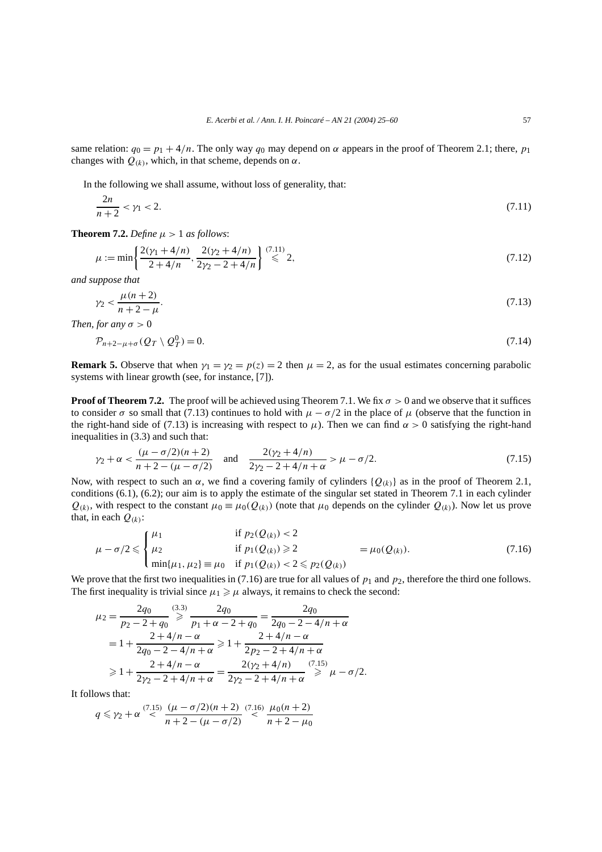same relation:  $q_0 = p_1 + 4/n$ . The only way  $q_0$  may depend on  $\alpha$  appears in the proof of Theorem 2.1; there,  $p_1$ changes with  $Q_{(k)}$ , which, in that scheme, depends on  $\alpha$ .

In the following we shall assume, without loss of generality, that:

$$
\frac{2n}{n+2} < \gamma_1 < 2. \tag{7.11}
$$

**Theorem 7.2.** *Define*  $\mu > 1$  *as follows*:

$$
\mu := \min\left\{\frac{2(\gamma_1 + 4/n)}{2 + 4/n}, \frac{2(\gamma_2 + 4/n)}{2\gamma_2 - 2 + 4/n}\right\} \stackrel{(7.11)}{\leqslant} 2,\tag{7.12}
$$

*and suppose that*

$$
\gamma_2 < \frac{\mu(n+2)}{n+2-\mu}.\tag{7.13}
$$

*Then, for any*  $\sigma > 0$ 

$$
\mathcal{P}_{n+2-\mu+\sigma}(Q_T \setminus Q_T^0) = 0. \tag{7.14}
$$

**Remark 5.** Observe that when  $\gamma_1 = \gamma_2 = p(z) = 2$  then  $\mu = 2$ , as for the usual estimates concerning parabolic systems with linear growth (see, for instance, [7]).

**Proof of Theorem 7.2.** The proof will be achieved using Theorem 7.1. We fix  $\sigma > 0$  and we observe that it suffices to consider  $\sigma$  so small that (7.13) continues to hold with  $\mu - \sigma/2$  in the place of  $\mu$  (observe that the function in the right-hand side of (7.13) is increasing with respect to  $\mu$ ). Then we can find  $\alpha > 0$  satisfying the right-hand inequalities in (3.3) and such that:

$$
\gamma_2 + \alpha < \frac{(\mu - \sigma/2)(n+2)}{n+2 - (\mu - \sigma/2)} \quad \text{and} \quad \frac{2(\gamma_2 + 4/n)}{2\gamma_2 - 2 + 4/n + \alpha} > \mu - \sigma/2. \tag{7.15}
$$

Now, with respect to such an *α*, we find a covering family of cylinders { $Q_{(k)}$ } as in the proof of Theorem 2.1, conditions (6.1), (6.2); our aim is to apply the estimate of the singular set stated in Theorem 7.1 in each cylinder  $Q_{(k)}$ , with respect to the constant  $\mu_0 \equiv \mu_0(Q_{(k)})$  (note that  $\mu_0$  depends on the cylinder  $Q_{(k)}$ ). Now let us prove that, in each  $Q_{(k)}$ :

$$
\mu - \sigma/2 \leq \begin{cases} \mu_1 & \text{if } p_2(Q_{(k)}) < 2 \\ \mu_2 & \text{if } p_1(Q_{(k)}) \geq 2 \\ \min\{\mu_1, \mu_2\} \equiv \mu_0 & \text{if } p_1(Q_{(k)}) < 2 \leq p_2(Q_{(k)}) \end{cases} = \mu_0(Q_{(k)}). \tag{7.16}
$$

We prove that the first two inequalities in (7.16) are true for all values of  $p_1$  and  $p_2$ , therefore the third one follows. The first inequality is trivial since  $\mu_1 \geq \mu$  always, it remains to check the second:

$$
\mu_2 = \frac{2q_0}{p_2 - 2 + q_0} \mathop{\geqslant} \frac{(3.3)}{p_1 + \alpha - 2 + q_0} = \frac{2q_0}{2q_0 - 2 - 4/n + \alpha}
$$

$$
= 1 + \frac{2 + 4/n - \alpha}{2q_0 - 2 - 4/n + \alpha} \mathop{\geqslant} 1 + \frac{2 + 4/n - \alpha}{2p_2 - 2 + 4/n + \alpha}
$$

$$
\mathop{\geqslant} 1 + \frac{2 + 4/n - \alpha}{2p_2 - 2 + 4/n + \alpha} = \frac{2(\gamma_2 + 4/n)}{2\gamma_2 - 2 + 4/n + \alpha} \mathop{\geqslant} \frac{(7.15)}{\mathop{\geqslant} \mu} - \sigma/2.
$$

It follows that:

$$
q \leq \gamma_2 + \alpha \stackrel{(7.15)}{\leq} \frac{(\mu - \sigma/2)(n+2)}{n+2 - (\mu - \sigma/2)} \stackrel{(7.16)}{\leq} \frac{\mu_0(n+2)}{n+2 - \mu_0}
$$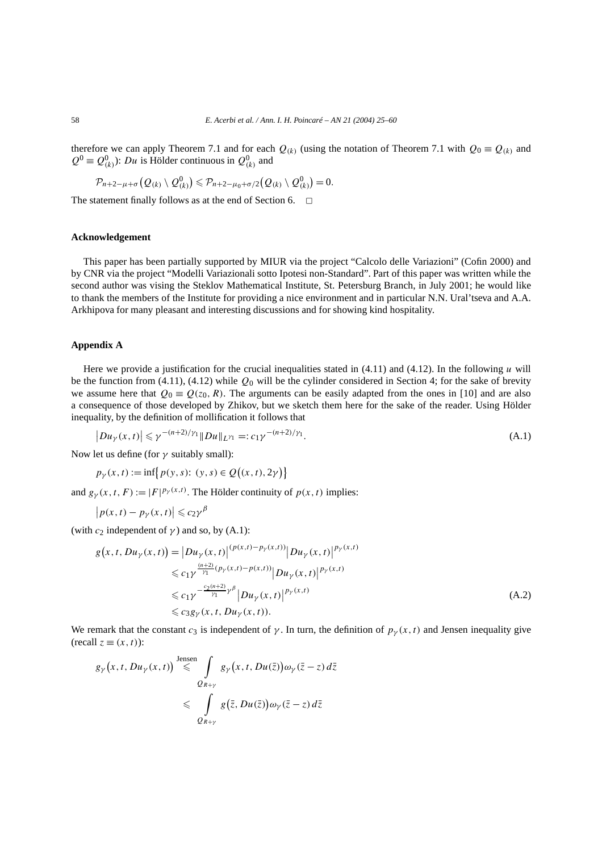therefore we can apply Theorem 7.1 and for each  $Q_{(k)}$  (using the notation of Theorem 7.1 with  $Q_0 = Q_{(k)}$  and  $Q^0 \equiv Q^0_{(k)}$ : *Du* is Hölder continuous in  $Q^0_{(k)}$  and

$$
\mathcal{P}_{n+2-\mu+\sigma}(Q_{(k)}\setminus Q_{(k)}^0)\leqslant \mathcal{P}_{n+2-\mu_0+\sigma/2}(Q_{(k)}\setminus Q_{(k)}^0)=0.
$$

The statement finally follows as at the end of Section 6.  $\Box$ 

# **Acknowledgement**

This paper has been partially supported by MIUR via the project "Calcolo delle Variazioni" (Cofin 2000) and by CNR via the project "Modelli Variazionali sotto Ipotesi non-Standard". Part of this paper was written while the second author was vising the Steklov Mathematical Institute, St. Petersburg Branch, in July 2001; he would like to thank the members of the Institute for providing a nice environment and in particular N.N. Ural'tseva and A.A. Arkhipova for many pleasant and interesting discussions and for showing kind hospitality.

# **Appendix A**

Here we provide a justification for the crucial inequalities stated in (4.11) and (4.12). In the following *u* will be the function from (4.11), (4.12) while *Q*<sup>0</sup> will be the cylinder considered in Section 4; for the sake of brevity we assume here that  $Q_0 = Q(z_0, R)$ . The arguments can be easily adapted from the ones in [10] and are also a consequence of those developed by Zhikov, but we sketch them here for the sake of the reader. Using Hölder inequality, by the definition of mollification it follows that

$$
\left|Du_{\gamma}(x,t)\right| \leqslant \gamma^{-(n+2)/\gamma_1} \|Du\|_{L^{\gamma_1}} =: c_1 \gamma^{-(n+2)/\gamma_1}.
$$
\n(A.1)

Now let us define (for *γ* suitably small):

$$
p_{\gamma}(x, t) := \inf \{ p(y, s): (y, s) \in Q((x, t), 2\gamma) \}
$$

and  $g_{\gamma}(x, t, F) := |F|^{p_{\gamma}(x,t)}$ . The Hölder continuity of  $p(x, t)$  implies:

$$
\left|p(x,t)-p_{\gamma}(x,t)\right|\leqslant c_{2}\gamma^{\beta}
$$

(with  $c_2$  independent of  $\gamma$ ) and so, by (A.1):

$$
g(x, t, Du_{\gamma}(x, t)) = |Du_{\gamma}(x, t)|^{(p(x, t) - p_{\gamma}(x, t))} |Du_{\gamma}(x, t)|^{p_{\gamma}(x, t)}
$$
  
\n
$$
\leq c_1 \gamma^{\frac{(n+2)}{\gamma_1} (p_{\gamma}(x, t) - p(x, t))} |Du_{\gamma}(x, t)|^{p_{\gamma}(x, t)}
$$
  
\n
$$
\leq c_1 \gamma^{-\frac{c_2(n+2)}{\gamma_1} \gamma^{\beta}} |Du_{\gamma}(x, t)|^{p_{\gamma}(x, t)}
$$
  
\n
$$
\leq c_3 g_{\gamma}(x, t, Du_{\gamma}(x, t)).
$$
\n(A.2)

We remark that the constant  $c_3$  is independent of  $\gamma$ . In turn, the definition of  $p_\gamma(x, t)$  and Jensen inequality give  $(\text{recall } z \equiv (x, t))$ :

$$
g_{\gamma}(x, t, Du_{\gamma}(x, t)) \stackrel{\text{Jensen}}{\leqslant} \int_{Q_{R+\gamma}} g_{\gamma}(x, t, Du(\bar{z})) \omega_{\gamma}(\bar{z} - z) d\bar{z}
$$
  

$$
\leqslant \int_{Q_{R+\gamma}} g(\bar{z}, Du(\bar{z})) \omega_{\gamma}(\bar{z} - z) d\bar{z}
$$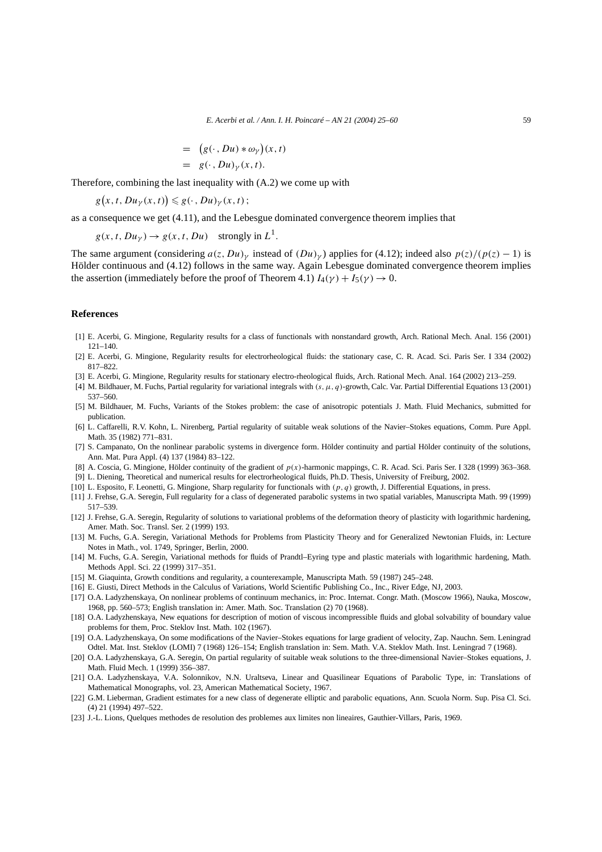$$
= (g(\cdot, Du) * \omega_{\gamma})(x, t)
$$
  
=  $g(\cdot, Du)_{\gamma}(x, t).$ 

Therefore, combining the last inequality with (A.2) we come up with

$$
g(x, t, Du_{\gamma}(x, t)) \leq g(\cdot, Du_{\gamma}(x, t));
$$

as a consequence we get (4.11), and the Lebesgue dominated convergence theorem implies that

$$
g(x, t, Du_\gamma) \to g(x, t, Du)
$$
 strongly in  $L^1$ .

The same argument (considering  $a(z, Du)_{\gamma}$  instead of  $(Du)_{\gamma}$ ) applies for (4.12); indeed also  $p(z)/(p(z) - 1)$  is Hölder continuous and (4.12) follows in the same way. Again Lebesgue dominated convergence theorem implies the assertion (immediately before the proof of Theorem 4.1)  $I_4(\gamma) + I_5(\gamma) \rightarrow 0$ .

#### **References**

- [1] E. Acerbi, G. Mingione, Regularity results for a class of functionals with nonstandard growth, Arch. Rational Mech. Anal. 156 (2001) 121–140.
- [2] E. Acerbi, G. Mingione, Regularity results for electrorheological fluids: the stationary case, C. R. Acad. Sci. Paris Ser. I 334 (2002) 817–822.
- [3] E. Acerbi, G. Mingione, Regularity results for stationary electro-rheological fluids, Arch. Rational Mech. Anal. 164 (2002) 213–259.
- [4] M. Bildhauer, M. Fuchs, Partial regularity for variational integrals with *(s,µ, q)*-growth, Calc. Var. Partial Differential Equations 13 (2001) 537–560.
- [5] M. Bildhauer, M. Fuchs, Variants of the Stokes problem: the case of anisotropic potentials J. Math. Fluid Mechanics, submitted for publication.
- [6] L. Caffarelli, R.V. Kohn, L. Nirenberg, Partial regularity of suitable weak solutions of the Navier–Stokes equations, Comm. Pure Appl. Math. 35 (1982) 771–831.
- [7] S. Campanato, On the nonlinear parabolic systems in divergence form. Hölder continuity and partial Hölder continuity of the solutions, Ann. Mat. Pura Appl. (4) 137 (1984) 83–122.
- [8] A. Coscia, G. Mingione, Hölder continuity of the gradient of *p(x)*-harmonic mappings, C. R. Acad. Sci. Paris Ser. I 328 (1999) 363–368.
- [9] L. Diening, Theoretical and numerical results for electrorheological fluids, Ph.D. Thesis, University of Freiburg, 2002.
- [10] L. Esposito, F. Leonetti, G. Mingione, Sharp regularity for functionals with *(p, q)* growth, J. Differential Equations, in press.
- [11] J. Frehse, G.A. Seregin, Full regularity for a class of degenerated parabolic systems in two spatial variables, Manuscripta Math. 99 (1999) 517–539.
- [12] J. Frehse, G.A. Seregin, Regularity of solutions to variational problems of the deformation theory of plasticity with logarithmic hardening, Amer. Math. Soc. Transl. Ser. 2 (1999) 193.
- [13] M. Fuchs, G.A. Seregin, Variational Methods for Problems from Plasticity Theory and for Generalized Newtonian Fluids, in: Lecture Notes in Math., vol. 1749, Springer, Berlin, 2000.
- [14] M. Fuchs, G.A. Seregin, Variational methods for fluids of Prandtl–Eyring type and plastic materials with logarithmic hardening, Math. Methods Appl. Sci. 22 (1999) 317–351.
- [15] M. Giaquinta, Growth conditions and regularity, a counterexample, Manuscripta Math. 59 (1987) 245–248.
- [16] E. Giusti, Direct Methods in the Calculus of Variations, World Scientific Publishing Co., Inc., River Edge, NJ, 2003.
- [17] O.A. Ladyzhenskaya, On nonlinear problems of continuum mechanics, in: Proc. Internat. Congr. Math. (Moscow 1966), Nauka, Moscow, 1968, pp. 560–573; English translation in: Amer. Math. Soc. Translation (2) 70 (1968).
- [18] O.A. Ladyzhenskaya, New equations for description of motion of viscous incompressible fluids and global solvability of boundary value problems for them, Proc. Steklov Inst. Math. 102 (1967).
- [19] O.A. Ladyzhenskaya, On some modifications of the Navier–Stokes equations for large gradient of velocity, Zap. Nauchn. Sem. Leningrad Odtel. Mat. Inst. Steklov (LOMI) 7 (1968) 126–154; English translation in: Sem. Math. V.A. Steklov Math. Inst. Leningrad 7 (1968).
- [20] O.A. Ladyzhenskaya, G.A. Seregin, On partial regularity of suitable weak solutions to the three-dimensional Navier–Stokes equations, J. Math. Fluid Mech. 1 (1999) 356–387.
- [21] O.A. Ladyzhenskaya, V.A. Solonnikov, N.N. Uraltseva, Linear and Quasilinear Equations of Parabolic Type, in: Translations of Mathematical Monographs, vol. 23, American Mathematical Society, 1967.
- [22] G.M. Lieberman, Gradient estimates for a new class of degenerate elliptic and parabolic equations, Ann. Scuola Norm. Sup. Pisa Cl. Sci. (4) 21 (1994) 497–522.
- [23] J.-L. Lions, Quelques methodes de resolution des problemes aux limites non lineaires, Gauthier-Villars, Paris, 1969.